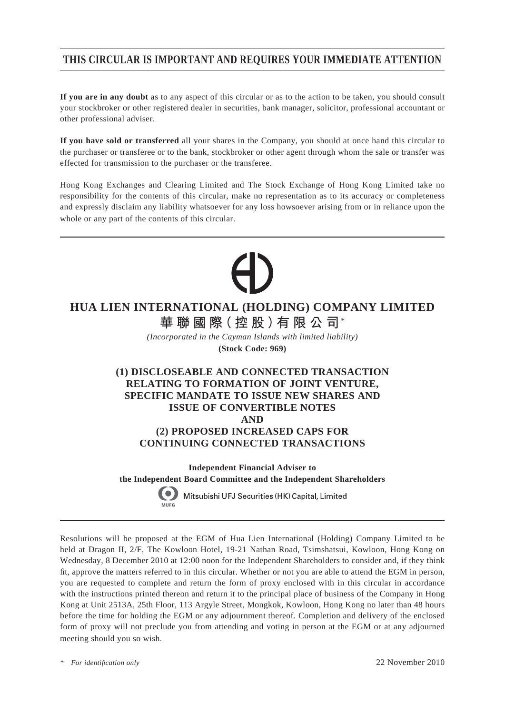# **THIS CIRCULAR IS IMPORTANT AND REQUIRES YOUR IMMEDIATE ATTENTION**

**If you are in any doubt** as to any aspect of this circular or as to the action to be taken, you should consult your stockbroker or other registered dealer in securities, bank manager, solicitor, professional accountant or other professional adviser.

**If you have sold or transferred** all your shares in the Company, you should at once hand this circular to the purchaser or transferee or to the bank, stockbroker or other agent through whom the sale or transfer was effected for transmission to the purchaser or the transferee.

Hong Kong Exchanges and Clearing Limited and The Stock Exchange of Hong Kong Limited take no responsibility for the contents of this circular, make no representation as to its accuracy or completeness and expressly disclaim any liability whatsoever for any loss howsoever arising from or in reliance upon the whole or any part of the contents of this circular.

# **HUA LIEN INTERNATIONAL (HOLDING) COMPANY LIMITED**

**華聯國際(控股)有限公司**\*

*(Incorporated in the Cayman Islands with limited liability)*

**(Stock Code: 969)**

## **(1) DISCLOSEABLE AND CONNECTED TRANSACTION RELATING TO FORMATION OF JOINT VENTURE, SPECIFIC MANDATE TO ISSUE NEW SHARES AND ISSUE OF CONVERTIBLE NOTES AND (2) PROPOSED INCREASED CAPS FOR CONTINUING CONNECTED TRANSACTIONS**

**Independent Financial Adviser to the Independent Board Committee and the Independent Shareholders**

Mitsubishi UFJ Securities (HK) Capital, Limited

Resolutions will be proposed at the EGM of Hua Lien International (Holding) Company Limited to be held at Dragon II, 2/F, The Kowloon Hotel, 19-21 Nathan Road, Tsimshatsui, Kowloon, Hong Kong on Wednesday, 8 December 2010 at 12:00 noon for the Independent Shareholders to consider and, if they think fit, approve the matters referred to in this circular. Whether or not you are able to attend the EGM in person, you are requested to complete and return the form of proxy enclosed with in this circular in accordance with the instructions printed thereon and return it to the principal place of business of the Company in Hong Kong at Unit 2513A, 25th Floor, 113 Argyle Street, Mongkok, Kowloon, Hong Kong no later than 48 hours before the time for holding the EGM or any adjournment thereof. Completion and delivery of the enclosed form of proxy will not preclude you from attending and voting in person at the EGM or at any adjourned meeting should you so wish.

*\* For identifi cation only* 22 November 2010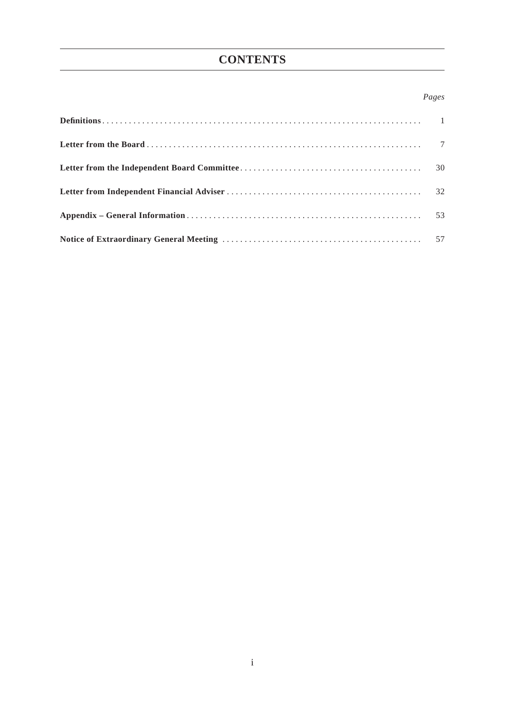# **CONTENTS**

## *Pages*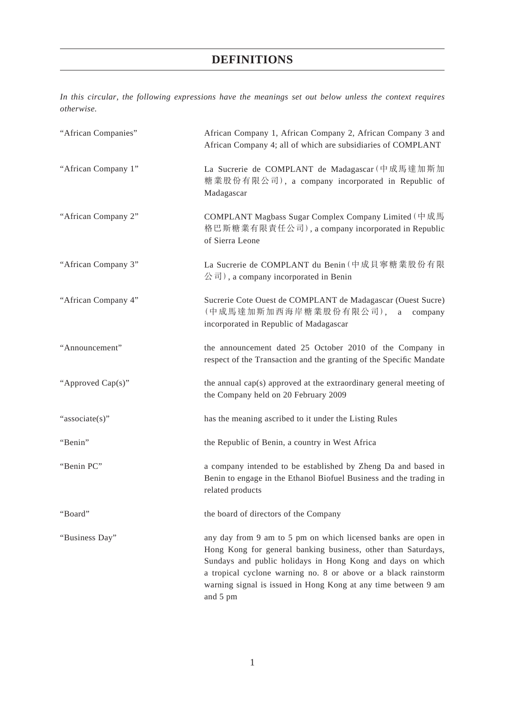*In this circular, the following expressions have the meanings set out below unless the context requires otherwise.*

| "African Companies" | African Company 1, African Company 2, African Company 3 and<br>African Company 4; all of which are subsidiaries of COMPLANT                                                                                                                                                                                                                  |
|---------------------|----------------------------------------------------------------------------------------------------------------------------------------------------------------------------------------------------------------------------------------------------------------------------------------------------------------------------------------------|
| "African Company 1" | La Sucrerie de COMPLANT de Madagascar (中成馬達加斯加<br>糖業股份有限公司), a company incorporated in Republic of<br>Madagascar                                                                                                                                                                                                                             |
| "African Company 2" | COMPLANT Magbass Sugar Complex Company Limited (中成馬<br>格巴斯糖業有限責任公司), a company incorporated in Republic<br>of Sierra Leone                                                                                                                                                                                                                   |
| "African Company 3" | La Sucrerie de COMPLANT du Benin (中成貝寧糖業股份有限<br>$\langle \hat{\mathcal{E}}   \hat{\mathcal{E}} \rangle$ , a company incorporated in Benin                                                                                                                                                                                                    |
| "African Company 4" | Sucrerie Cote Ouest de COMPLANT de Madagascar (Ouest Sucre)<br>(中成馬達加斯加西海岸糖業股份有限公司),<br>a<br>company<br>incorporated in Republic of Madagascar                                                                                                                                                                                               |
| "Announcement"      | the announcement dated 25 October 2010 of the Company in<br>respect of the Transaction and the granting of the Specific Mandate                                                                                                                                                                                                              |
| "Approved Cap(s)"   | the annual cap(s) approved at the extraordinary general meeting of<br>the Company held on 20 February 2009                                                                                                                                                                                                                                   |
| "associate(s)"      | has the meaning ascribed to it under the Listing Rules                                                                                                                                                                                                                                                                                       |
| "Benin"             | the Republic of Benin, a country in West Africa                                                                                                                                                                                                                                                                                              |
| "Benin PC"          | a company intended to be established by Zheng Da and based in<br>Benin to engage in the Ethanol Biofuel Business and the trading in<br>related products                                                                                                                                                                                      |
| "Board"             | the board of directors of the Company                                                                                                                                                                                                                                                                                                        |
| "Business Day"      | any day from 9 am to 5 pm on which licensed banks are open in<br>Hong Kong for general banking business, other than Saturdays,<br>Sundays and public holidays in Hong Kong and days on which<br>a tropical cyclone warning no. 8 or above or a black rainstorm<br>warning signal is issued in Hong Kong at any time between 9 am<br>and 5 pm |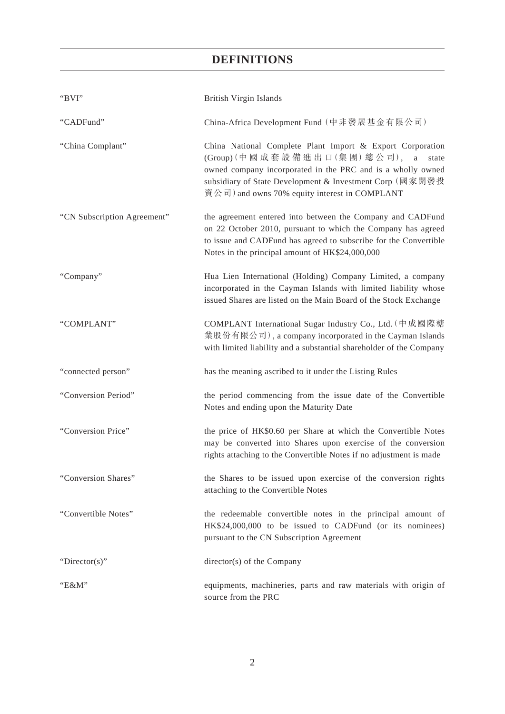| "BVI"                       | British Virgin Islands                                                                                                                                                                                                                                                             |
|-----------------------------|------------------------------------------------------------------------------------------------------------------------------------------------------------------------------------------------------------------------------------------------------------------------------------|
| "CADFund"                   | China-Africa Development Fund (中非發展基金有限公司)                                                                                                                                                                                                                                         |
| "China Complant"            | China National Complete Plant Import & Export Corporation<br>(Group) (中國成套設備進出口(集團)總公司),<br>a<br>state<br>owned company incorporated in the PRC and is a wholly owned<br>subsidiary of State Development & Investment Corp (國家開發投<br>資公司) and owns 70% equity interest in COMPLANT |
| "CN Subscription Agreement" | the agreement entered into between the Company and CADFund<br>on 22 October 2010, pursuant to which the Company has agreed<br>to issue and CADFund has agreed to subscribe for the Convertible<br>Notes in the principal amount of HK\$24,000,000                                  |
| "Company"                   | Hua Lien International (Holding) Company Limited, a company<br>incorporated in the Cayman Islands with limited liability whose<br>issued Shares are listed on the Main Board of the Stock Exchange                                                                                 |
| "COMPLANT"                  | COMPLANT International Sugar Industry Co., Ltd. (中成國際糖<br>業股份有限公司), a company incorporated in the Cayman Islands<br>with limited liability and a substantial shareholder of the Company                                                                                            |
| "connected person"          | has the meaning ascribed to it under the Listing Rules                                                                                                                                                                                                                             |
| "Conversion Period"         | the period commencing from the issue date of the Convertible<br>Notes and ending upon the Maturity Date                                                                                                                                                                            |
| "Conversion Price"          | the price of HK\$0.60 per Share at which the Convertible Notes<br>may be converted into Shares upon exercise of the conversion<br>rights attaching to the Convertible Notes if no adjustment is made                                                                               |
| "Conversion Shares"         | the Shares to be issued upon exercise of the conversion rights<br>attaching to the Convertible Notes                                                                                                                                                                               |
| "Convertible Notes"         | the redeemable convertible notes in the principal amount of<br>HK\$24,000,000 to be issued to CADFund (or its nominees)<br>pursuant to the CN Subscription Agreement                                                                                                               |
| "Director(s)"               | director(s) of the Company                                                                                                                                                                                                                                                         |
| "E&M"                       | equipments, machineries, parts and raw materials with origin of<br>source from the PRC                                                                                                                                                                                             |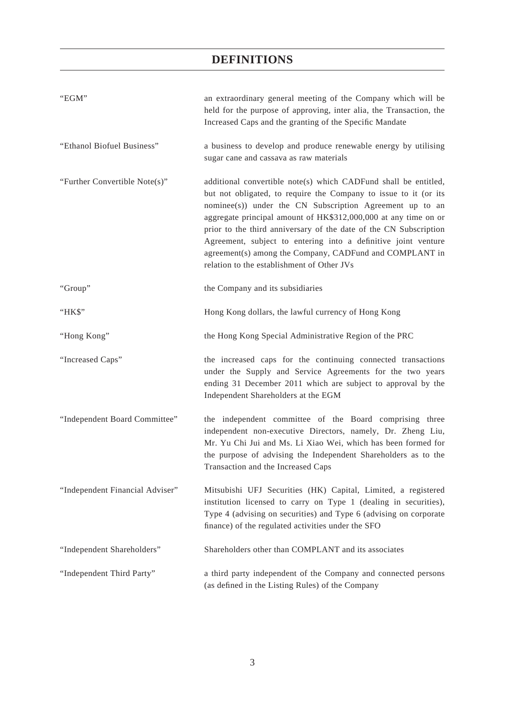| "EGM"                           | an extraordinary general meeting of the Company which will be<br>held for the purpose of approving, inter alia, the Transaction, the<br>Increased Caps and the granting of the Specific Mandate                                                                                                                                                                                                                                                                                                                    |
|---------------------------------|--------------------------------------------------------------------------------------------------------------------------------------------------------------------------------------------------------------------------------------------------------------------------------------------------------------------------------------------------------------------------------------------------------------------------------------------------------------------------------------------------------------------|
| "Ethanol Biofuel Business"      | a business to develop and produce renewable energy by utilising<br>sugar cane and cassava as raw materials                                                                                                                                                                                                                                                                                                                                                                                                         |
| "Further Convertible Note(s)"   | additional convertible note(s) which CADFund shall be entitled,<br>but not obligated, to require the Company to issue to it (or its<br>nominee(s)) under the CN Subscription Agreement up to an<br>aggregate principal amount of HK\$312,000,000 at any time on or<br>prior to the third anniversary of the date of the CN Subscription<br>Agreement, subject to entering into a definitive joint venture<br>agreement(s) among the Company, CADFund and COMPLANT in<br>relation to the establishment of Other JVs |
| "Group"                         | the Company and its subsidiaries                                                                                                                                                                                                                                                                                                                                                                                                                                                                                   |
| "HK\$"                          | Hong Kong dollars, the lawful currency of Hong Kong                                                                                                                                                                                                                                                                                                                                                                                                                                                                |
| "Hong Kong"                     | the Hong Kong Special Administrative Region of the PRC                                                                                                                                                                                                                                                                                                                                                                                                                                                             |
| "Increased Caps"                | the increased caps for the continuing connected transactions<br>under the Supply and Service Agreements for the two years<br>ending 31 December 2011 which are subject to approval by the<br>Independent Shareholders at the EGM                                                                                                                                                                                                                                                                                   |
| "Independent Board Committee"   | the independent committee of the Board comprising three<br>independent non-executive Directors, namely, Dr. Zheng Liu,<br>Mr. Yu Chi Jui and Ms. Li Xiao Wei, which has been formed for<br>the purpose of advising the Independent Shareholders as to the<br>Transaction and the Increased Caps                                                                                                                                                                                                                    |
| "Independent Financial Adviser" | Mitsubishi UFJ Securities (HK) Capital, Limited, a registered<br>institution licensed to carry on Type 1 (dealing in securities),<br>Type 4 (advising on securities) and Type 6 (advising on corporate<br>finance) of the regulated activities under the SFO                                                                                                                                                                                                                                                       |
| "Independent Shareholders"      | Shareholders other than COMPLANT and its associates                                                                                                                                                                                                                                                                                                                                                                                                                                                                |
| "Independent Third Party"       | a third party independent of the Company and connected persons<br>(as defined in the Listing Rules) of the Company                                                                                                                                                                                                                                                                                                                                                                                                 |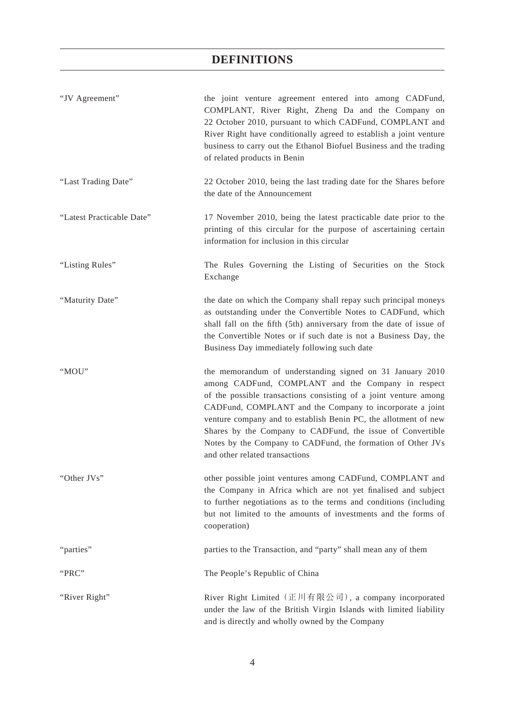| "JV Agreement"            | the joint venture agreement entered into among CADFund,<br>COMPLANT, River Right, Zheng Da and the Company on<br>22 October 2010, pursuant to which CADFund, COMPLANT and<br>River Right have conditionally agreed to establish a joint venture<br>business to carry out the Ethanol Biofuel Business and the trading<br>of related products in Benin                                                                                                                             |
|---------------------------|-----------------------------------------------------------------------------------------------------------------------------------------------------------------------------------------------------------------------------------------------------------------------------------------------------------------------------------------------------------------------------------------------------------------------------------------------------------------------------------|
| "Last Trading Date"       | 22 October 2010, being the last trading date for the Shares before<br>the date of the Announcement                                                                                                                                                                                                                                                                                                                                                                                |
| "Latest Practicable Date" | 17 November 2010, being the latest practicable date prior to the<br>printing of this circular for the purpose of ascertaining certain<br>information for inclusion in this circular                                                                                                                                                                                                                                                                                               |
| "Listing Rules"           | The Rules Governing the Listing of Securities on the Stock<br>Exchange                                                                                                                                                                                                                                                                                                                                                                                                            |
| "Maturity Date"           | the date on which the Company shall repay such principal moneys<br>as outstanding under the Convertible Notes to CADFund, which<br>shall fall on the fifth (5th) anniversary from the date of issue of<br>the Convertible Notes or if such date is not a Business Day, the<br>Business Day immediately following such date                                                                                                                                                        |
| "MOU"                     | the memorandum of understanding signed on 31 January 2010<br>among CADFund, COMPLANT and the Company in respect<br>of the possible transactions consisting of a joint venture among<br>CADFund, COMPLANT and the Company to incorporate a joint<br>venture company and to establish Benin PC, the allotment of new<br>Shares by the Company to CADFund, the issue of Convertible<br>Notes by the Company to CADFund, the formation of Other JVs<br>and other related transactions |
| "Other JVs"               | other possible joint ventures among CADFund, COMPLANT and<br>the Company in Africa which are not yet finalised and subject<br>to further negotiations as to the terms and conditions (including<br>but not limited to the amounts of investments and the forms of<br>cooperation)                                                                                                                                                                                                 |
| "parties"                 | parties to the Transaction, and "party" shall mean any of them                                                                                                                                                                                                                                                                                                                                                                                                                    |
| "PRC"                     | The People's Republic of China                                                                                                                                                                                                                                                                                                                                                                                                                                                    |
| "River Right"             | River Right Limited (正川有限公司), a company incorporated<br>under the law of the British Virgin Islands with limited liability<br>and is directly and wholly owned by the Company                                                                                                                                                                                                                                                                                                     |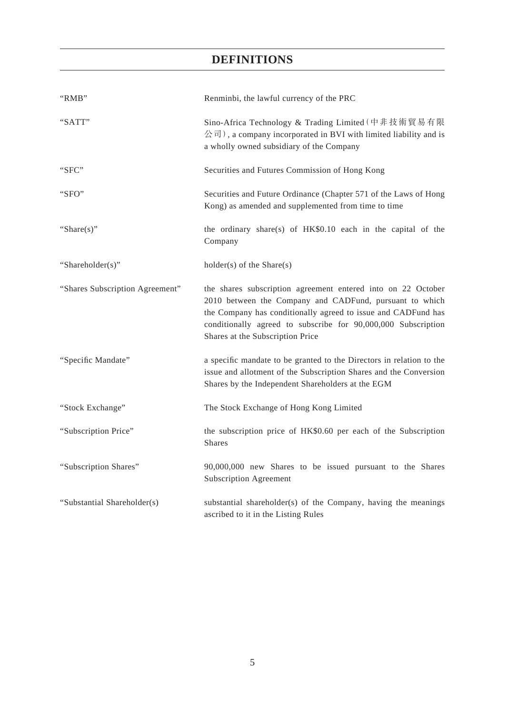| "RMB"                           | Renminbi, the lawful currency of the PRC                                                                                                                                                                                                                                                      |
|---------------------------------|-----------------------------------------------------------------------------------------------------------------------------------------------------------------------------------------------------------------------------------------------------------------------------------------------|
| "SATT"                          | Sino-Africa Technology & Trading Limited (中非技術貿易有限<br>公司), a company incorporated in BVI with limited liability and is<br>a wholly owned subsidiary of the Company                                                                                                                            |
| "SFC"                           | Securities and Futures Commission of Hong Kong                                                                                                                                                                                                                                                |
| "SFO"                           | Securities and Future Ordinance (Chapter 571 of the Laws of Hong<br>Kong) as amended and supplemented from time to time                                                                                                                                                                       |
| "Share $(s)$ "                  | the ordinary share(s) of HK\$0.10 each in the capital of the<br>Company                                                                                                                                                                                                                       |
| "Shareholder(s)"                | $holder(s)$ of the Share $(s)$                                                                                                                                                                                                                                                                |
| "Shares Subscription Agreement" | the shares subscription agreement entered into on 22 October<br>2010 between the Company and CADFund, pursuant to which<br>the Company has conditionally agreed to issue and CADFund has<br>conditionally agreed to subscribe for 90,000,000 Subscription<br>Shares at the Subscription Price |
| "Specific Mandate"              | a specific mandate to be granted to the Directors in relation to the<br>issue and allotment of the Subscription Shares and the Conversion<br>Shares by the Independent Shareholders at the EGM                                                                                                |
| "Stock Exchange"                | The Stock Exchange of Hong Kong Limited                                                                                                                                                                                                                                                       |
| "Subscription Price"            | the subscription price of HK\$0.60 per each of the Subscription<br><b>Shares</b>                                                                                                                                                                                                              |
| "Subscription Shares"           | 90,000,000 new Shares to be issued pursuant to the Shares<br><b>Subscription Agreement</b>                                                                                                                                                                                                    |
| "Substantial Shareholder(s)     | substantial shareholder(s) of the Company, having the meanings<br>ascribed to it in the Listing Rules                                                                                                                                                                                         |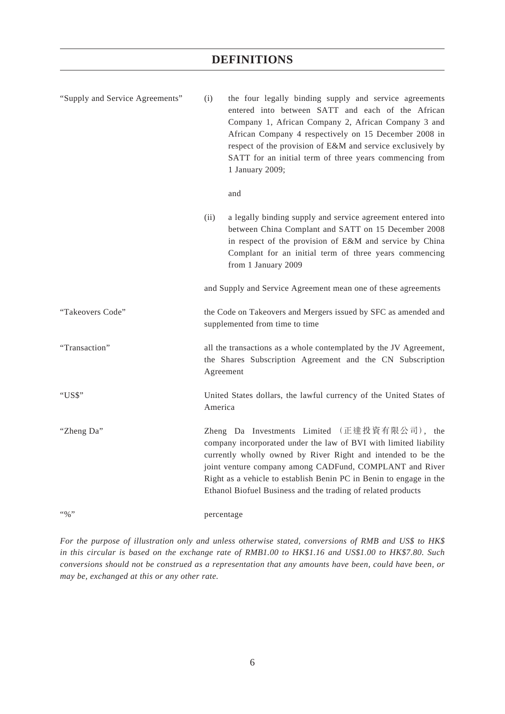| "Supply and Service Agreements" | (i)                                                                                              | the four legally binding supply and service agreements<br>entered into between SATT and each of the African<br>Company 1, African Company 2, African Company 3 and<br>African Company 4 respectively on 15 December 2008 in<br>respect of the provision of E&M and service exclusively by<br>SATT for an initial term of three years commencing from<br>1 January 2009;<br>and    |  |
|---------------------------------|--------------------------------------------------------------------------------------------------|-----------------------------------------------------------------------------------------------------------------------------------------------------------------------------------------------------------------------------------------------------------------------------------------------------------------------------------------------------------------------------------|--|
|                                 | (ii)                                                                                             | a legally binding supply and service agreement entered into<br>between China Complant and SATT on 15 December 2008<br>in respect of the provision of E&M and service by China<br>Complant for an initial term of three years commencing<br>from 1 January 2009                                                                                                                    |  |
|                                 |                                                                                                  | and Supply and Service Agreement mean one of these agreements                                                                                                                                                                                                                                                                                                                     |  |
| "Takeovers Code"                | the Code on Takeovers and Mergers issued by SFC as amended and<br>supplemented from time to time |                                                                                                                                                                                                                                                                                                                                                                                   |  |
| "Transaction"                   |                                                                                                  | all the transactions as a whole contemplated by the JV Agreement,<br>the Shares Subscription Agreement and the CN Subscription<br>Agreement                                                                                                                                                                                                                                       |  |
| "US\$"                          | America                                                                                          | United States dollars, the lawful currency of the United States of                                                                                                                                                                                                                                                                                                                |  |
| "Zheng Da"                      |                                                                                                  | Zheng Da Investments Limited (正達投資有限公司), the<br>company incorporated under the law of BVI with limited liability<br>currently wholly owned by River Right and intended to be the<br>joint venture company among CADFund, COMPLANT and River<br>Right as a vehicle to establish Benin PC in Benin to engage in the<br>Ethanol Biofuel Business and the trading of related products |  |
| $``\%"$                         | percentage                                                                                       |                                                                                                                                                                                                                                                                                                                                                                                   |  |

*For the purpose of illustration only and unless otherwise stated, conversions of RMB and US\$ to HK\$ in this circular is based on the exchange rate of RMB1.00 to HK\$1.16 and US\$1.00 to HK\$7.80. Such conversions should not be construed as a representation that any amounts have been, could have been, or may be, exchanged at this or any other rate.*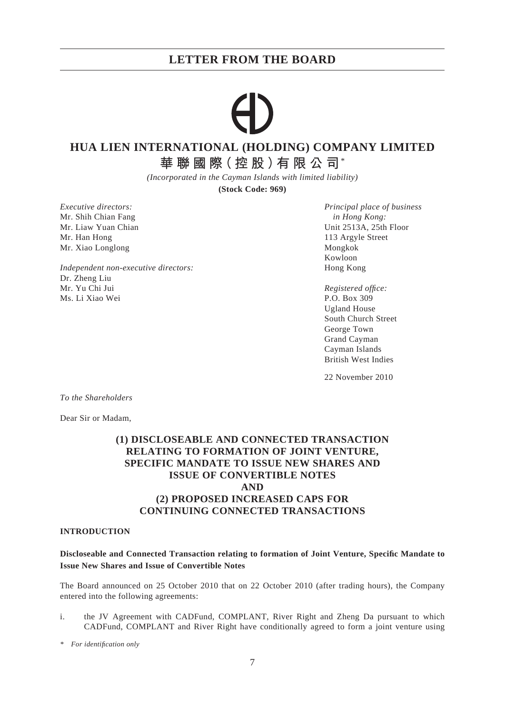# **HUA LIEN INTERNATIONAL (HOLDING) COMPANY LIMITED**

**華聯國際(控股)有限公司**\*

*(Incorporated in the Cayman Islands with limited liability)*

**(Stock Code: 969)**

Mr. Shih Chian Fang *in Hong Kong:* Mr. Han Hong 113 Argyle Street Mr. Xiao Longlong Mongkok (Mongkok Mongkok Mongkok Mongkok Mongkok Mongkok Mongkok Mongkok Mongkok Mongkok Mongkok Mongkok (Mongkok Mongkok Mongkok Mongkok Mongkok Mongkok Mongkok Mongkok (Mongkok Mongkok Mongkok Mongkok M

*Independent non-executive directors:* Hong Kong Dr. Zheng Liu Mr. Yu Chi Jui *Registered offi ce:* Ms. Li Xiao Wei P.O. Box 309

*Executive directors: Principal place of business* Mr. Liaw Yuan Chian Unit 2513A, 25th Floor Kowloon

> Ugland House South Church Street George Town Grand Cayman Cayman Islands British West Indies

22 November 2010

*To the Shareholders*

Dear Sir or Madam,

## **(1) DISCLOSEABLE AND CONNECTED TRANSACTION RELATING TO FORMATION OF JOINT VENTURE, SPECIFIC MANDATE TO ISSUE NEW SHARES AND ISSUE OF CONVERTIBLE NOTES AND (2) PROPOSED INCREASED CAPS FOR CONTINUING CONNECTED TRANSACTIONS**

#### **INTRODUCTION**

#### **Discloseable and Connected Transaction relating to formation of Joint Venture, Specifi c Mandate to Issue New Shares and Issue of Convertible Notes**

The Board announced on 25 October 2010 that on 22 October 2010 (after trading hours), the Company entered into the following agreements:

i. the JV Agreement with CADFund, COMPLANT, River Right and Zheng Da pursuant to which CADFund, COMPLANT and River Right have conditionally agreed to form a joint venture using

*<sup>\*</sup> For identifi cation only*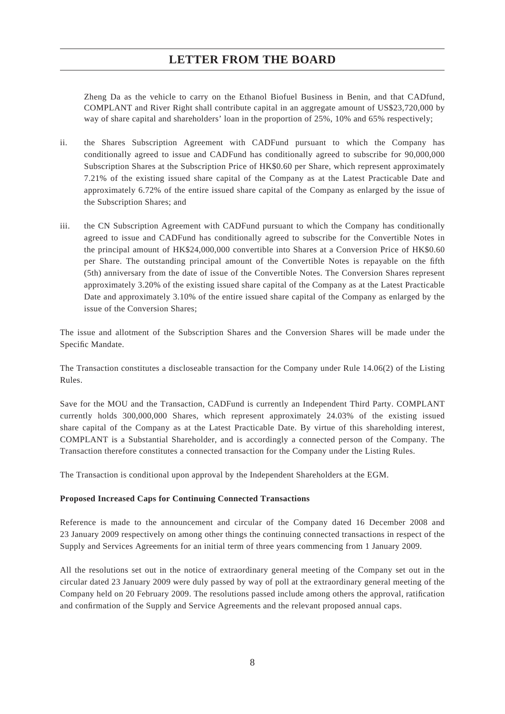Zheng Da as the vehicle to carry on the Ethanol Biofuel Business in Benin, and that CADfund, COMPLANT and River Right shall contribute capital in an aggregate amount of US\$23,720,000 by way of share capital and shareholders' loan in the proportion of 25%, 10% and 65% respectively;

- ii. the Shares Subscription Agreement with CADFund pursuant to which the Company has conditionally agreed to issue and CADFund has conditionally agreed to subscribe for 90,000,000 Subscription Shares at the Subscription Price of HK\$0.60 per Share, which represent approximately 7.21% of the existing issued share capital of the Company as at the Latest Practicable Date and approximately 6.72% of the entire issued share capital of the Company as enlarged by the issue of the Subscription Shares; and
- iii. the CN Subscription Agreement with CADFund pursuant to which the Company has conditionally agreed to issue and CADFund has conditionally agreed to subscribe for the Convertible Notes in the principal amount of HK\$24,000,000 convertible into Shares at a Conversion Price of HK\$0.60 per Share. The outstanding principal amount of the Convertible Notes is repayable on the fifth (5th) anniversary from the date of issue of the Convertible Notes. The Conversion Shares represent approximately 3.20% of the existing issued share capital of the Company as at the Latest Practicable Date and approximately 3.10% of the entire issued share capital of the Company as enlarged by the issue of the Conversion Shares;

The issue and allotment of the Subscription Shares and the Conversion Shares will be made under the Specific Mandate.

The Transaction constitutes a discloseable transaction for the Company under Rule 14.06(2) of the Listing Rules.

Save for the MOU and the Transaction, CADFund is currently an Independent Third Party. COMPLANT currently holds 300,000,000 Shares, which represent approximately 24.03% of the existing issued share capital of the Company as at the Latest Practicable Date. By virtue of this shareholding interest, COMPLANT is a Substantial Shareholder, and is accordingly a connected person of the Company. The Transaction therefore constitutes a connected transaction for the Company under the Listing Rules.

The Transaction is conditional upon approval by the Independent Shareholders at the EGM.

#### **Proposed Increased Caps for Continuing Connected Transactions**

Reference is made to the announcement and circular of the Company dated 16 December 2008 and 23 January 2009 respectively on among other things the continuing connected transactions in respect of the Supply and Services Agreements for an initial term of three years commencing from 1 January 2009.

All the resolutions set out in the notice of extraordinary general meeting of the Company set out in the circular dated 23 January 2009 were duly passed by way of poll at the extraordinary general meeting of the Company held on 20 February 2009. The resolutions passed include among others the approval, ratification and confirmation of the Supply and Service Agreements and the relevant proposed annual caps.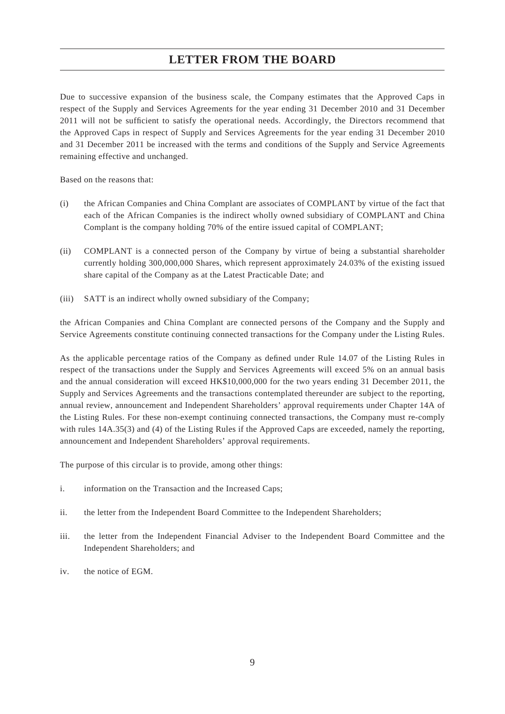Due to successive expansion of the business scale, the Company estimates that the Approved Caps in respect of the Supply and Services Agreements for the year ending 31 December 2010 and 31 December 2011 will not be sufficient to satisfy the operational needs. Accordingly, the Directors recommend that the Approved Caps in respect of Supply and Services Agreements for the year ending 31 December 2010 and 31 December 2011 be increased with the terms and conditions of the Supply and Service Agreements remaining effective and unchanged.

Based on the reasons that:

- (i) the African Companies and China Complant are associates of COMPLANT by virtue of the fact that each of the African Companies is the indirect wholly owned subsidiary of COMPLANT and China Complant is the company holding 70% of the entire issued capital of COMPLANT;
- (ii) COMPLANT is a connected person of the Company by virtue of being a substantial shareholder currently holding 300,000,000 Shares, which represent approximately 24.03% of the existing issued share capital of the Company as at the Latest Practicable Date; and
- (iii) SATT is an indirect wholly owned subsidiary of the Company;

the African Companies and China Complant are connected persons of the Company and the Supply and Service Agreements constitute continuing connected transactions for the Company under the Listing Rules.

As the applicable percentage ratios of the Company as defined under Rule 14.07 of the Listing Rules in respect of the transactions under the Supply and Services Agreements will exceed 5% on an annual basis and the annual consideration will exceed HK\$10,000,000 for the two years ending 31 December 2011, the Supply and Services Agreements and the transactions contemplated thereunder are subject to the reporting, annual review, announcement and Independent Shareholders' approval requirements under Chapter 14A of the Listing Rules. For these non-exempt continuing connected transactions, the Company must re-comply with rules 14A.35(3) and (4) of the Listing Rules if the Approved Caps are exceeded, namely the reporting, announcement and Independent Shareholders' approval requirements.

The purpose of this circular is to provide, among other things:

- i. information on the Transaction and the Increased Caps;
- ii. the letter from the Independent Board Committee to the Independent Shareholders;
- iii. the letter from the Independent Financial Adviser to the Independent Board Committee and the Independent Shareholders; and
- iv. the notice of EGM.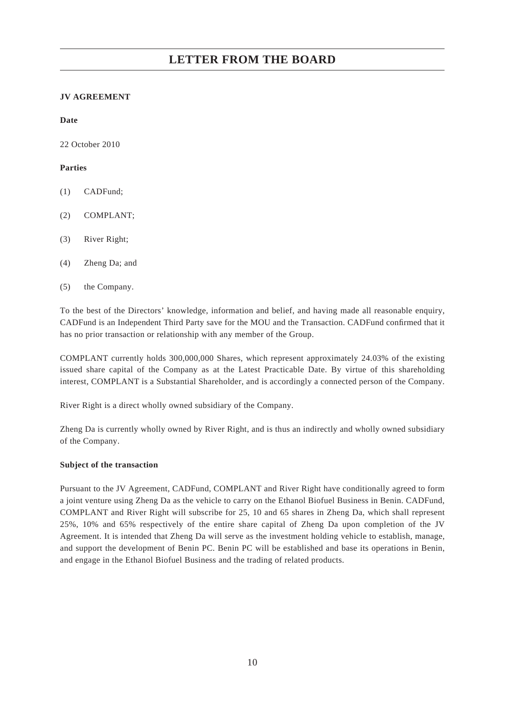### **JV AGREEMENT**

**Date**

22 October 2010

#### **Parties**

- (1) CADFund;
- (2) COMPLANT;
- (3) River Right;
- (4) Zheng Da; and
- (5) the Company.

To the best of the Directors' knowledge, information and belief, and having made all reasonable enquiry, CADFund is an Independent Third Party save for the MOU and the Transaction. CADFund confirmed that it has no prior transaction or relationship with any member of the Group.

COMPLANT currently holds 300,000,000 Shares, which represent approximately 24.03% of the existing issued share capital of the Company as at the Latest Practicable Date. By virtue of this shareholding interest, COMPLANT is a Substantial Shareholder, and is accordingly a connected person of the Company.

River Right is a direct wholly owned subsidiary of the Company.

Zheng Da is currently wholly owned by River Right, and is thus an indirectly and wholly owned subsidiary of the Company.

#### **Subject of the transaction**

Pursuant to the JV Agreement, CADFund, COMPLANT and River Right have conditionally agreed to form a joint venture using Zheng Da as the vehicle to carry on the Ethanol Biofuel Business in Benin. CADFund, COMPLANT and River Right will subscribe for 25, 10 and 65 shares in Zheng Da, which shall represent 25%, 10% and 65% respectively of the entire share capital of Zheng Da upon completion of the JV Agreement. It is intended that Zheng Da will serve as the investment holding vehicle to establish, manage, and support the development of Benin PC. Benin PC will be established and base its operations in Benin, and engage in the Ethanol Biofuel Business and the trading of related products.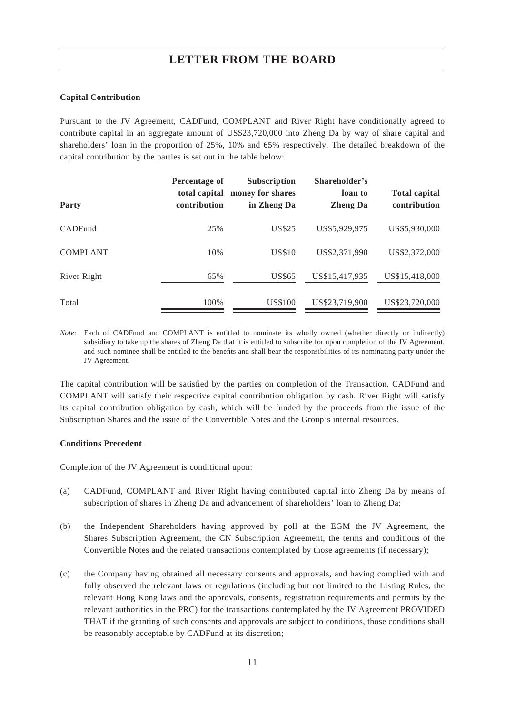#### **Capital Contribution**

Pursuant to the JV Agreement, CADFund, COMPLANT and River Right have conditionally agreed to contribute capital in an aggregate amount of US\$23,720,000 into Zheng Da by way of share capital and shareholders' loan in the proportion of 25%, 10% and 65% respectively. The detailed breakdown of the capital contribution by the parties is set out in the table below:

| Party           | Percentage of<br>total capital<br>contribution | <b>Subscription</b><br>money for shares<br>in Zheng Da | Shareholder's<br>loan to<br><b>Zheng Da</b> | <b>Total capital</b><br>contribution |
|-----------------|------------------------------------------------|--------------------------------------------------------|---------------------------------------------|--------------------------------------|
| CADFund         | 25%                                            | <b>US\$25</b>                                          | US\$5,929,975                               | US\$5,930,000                        |
| <b>COMPLANT</b> | 10%                                            | <b>US\$10</b>                                          | US\$2,371,990                               | US\$2,372,000                        |
| River Right     | 65%                                            | US\$65                                                 | US\$15,417,935                              | US\$15,418,000                       |
| Total           | 100\%                                          | US\$100                                                | US\$23,719,900                              | US\$23,720,000                       |

*Note:* Each of CADFund and COMPLANT is entitled to nominate its wholly owned (whether directly or indirectly) subsidiary to take up the shares of Zheng Da that it is entitled to subscribe for upon completion of the JV Agreement, and such nominee shall be entitled to the benefits and shall bear the responsibilities of its nominating party under the JV Agreement.

The capital contribution will be satisfied by the parties on completion of the Transaction. CADFund and COMPLANT will satisfy their respective capital contribution obligation by cash. River Right will satisfy its capital contribution obligation by cash, which will be funded by the proceeds from the issue of the Subscription Shares and the issue of the Convertible Notes and the Group's internal resources.

#### **Conditions Precedent**

Completion of the JV Agreement is conditional upon:

- (a) CADFund, COMPLANT and River Right having contributed capital into Zheng Da by means of subscription of shares in Zheng Da and advancement of shareholders' loan to Zheng Da;
- (b) the Independent Shareholders having approved by poll at the EGM the JV Agreement, the Shares Subscription Agreement, the CN Subscription Agreement, the terms and conditions of the Convertible Notes and the related transactions contemplated by those agreements (if necessary);
- (c) the Company having obtained all necessary consents and approvals, and having complied with and fully observed the relevant laws or regulations (including but not limited to the Listing Rules, the relevant Hong Kong laws and the approvals, consents, registration requirements and permits by the relevant authorities in the PRC) for the transactions contemplated by the JV Agreement PROVIDED THAT if the granting of such consents and approvals are subject to conditions, those conditions shall be reasonably acceptable by CADFund at its discretion;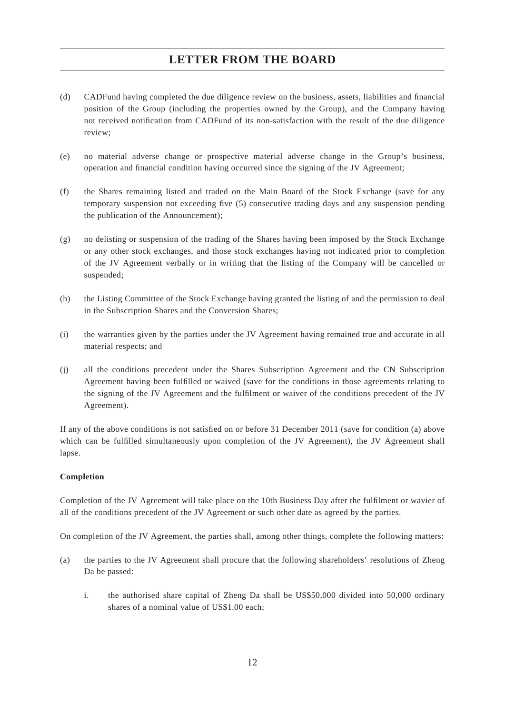- (d) CADFund having completed the due diligence review on the business, assets, liabilities and financial position of the Group (including the properties owned by the Group), and the Company having not received notification from CADFund of its non-satisfaction with the result of the due diligence review;
- (e) no material adverse change or prospective material adverse change in the Group's business, operation and financial condition having occurred since the signing of the JV Agreement;
- (f) the Shares remaining listed and traded on the Main Board of the Stock Exchange (save for any temporary suspension not exceeding five (5) consecutive trading days and any suspension pending the publication of the Announcement);
- (g) no delisting or suspension of the trading of the Shares having been imposed by the Stock Exchange or any other stock exchanges, and those stock exchanges having not indicated prior to completion of the JV Agreement verbally or in writing that the listing of the Company will be cancelled or suspended;
- (h) the Listing Committee of the Stock Exchange having granted the listing of and the permission to deal in the Subscription Shares and the Conversion Shares;
- (i) the warranties given by the parties under the JV Agreement having remained true and accurate in all material respects; and
- (j) all the conditions precedent under the Shares Subscription Agreement and the CN Subscription Agreement having been fulfilled or waived (save for the conditions in those agreements relating to the signing of the JV Agreement and the fulfilment or waiver of the conditions precedent of the JV Agreement).

If any of the above conditions is not satisfied on or before 31 December 2011 (save for condition (a) above which can be fulfilled simultaneously upon completion of the JV Agreement), the JV Agreement shall lapse.

#### **Completion**

Completion of the JV Agreement will take place on the 10th Business Day after the fulfilment or wavier of all of the conditions precedent of the JV Agreement or such other date as agreed by the parties.

On completion of the JV Agreement, the parties shall, among other things, complete the following matters:

- (a) the parties to the JV Agreement shall procure that the following shareholders' resolutions of Zheng Da be passed:
	- i. the authorised share capital of Zheng Da shall be US\$50,000 divided into 50,000 ordinary shares of a nominal value of US\$1.00 each;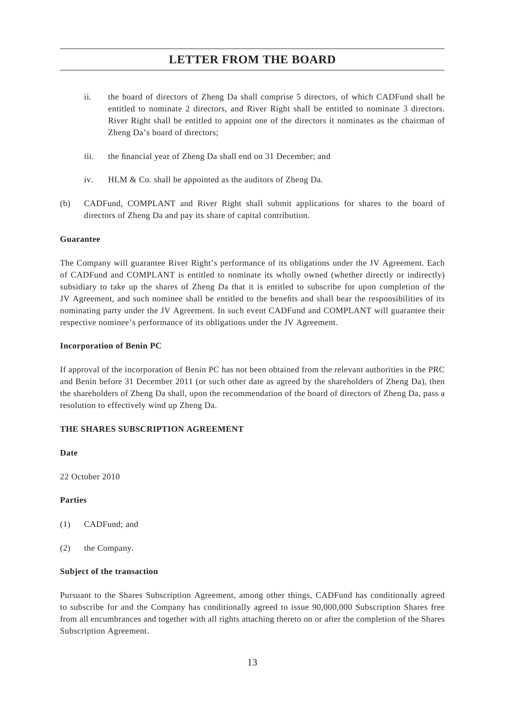- ii. the board of directors of Zheng Da shall comprise 5 directors, of which CADFund shall be entitled to nominate 2 directors, and River Right shall be entitled to nominate 3 directors. River Right shall be entitled to appoint one of the directors it nominates as the chairman of Zheng Da's board of directors;
- iii. the financial year of Zheng Da shall end on 31 December; and
- iv. HLM & Co. shall be appointed as the auditors of Zheng Da.
- (b) CADFund, COMPLANT and River Right shall submit applications for shares to the board of directors of Zheng Da and pay its share of capital contribution.

#### **Guarantee**

The Company will guarantee River Right's performance of its obligations under the JV Agreement. Each of CADFund and COMPLANT is entitled to nominate its wholly owned (whether directly or indirectly) subsidiary to take up the shares of Zheng Da that it is entitled to subscribe for upon completion of the JV Agreement, and such nominee shall be entitled to the benefits and shall bear the responsibilities of its nominating party under the JV Agreement. In such event CADFund and COMPLANT will guarantee their respective nominee's performance of its obligations under the JV Agreement.

#### **Incorporation of Benin PC**

If approval of the incorporation of Benin PC has not been obtained from the relevant authorities in the PRC and Benin before 31 December 2011 (or such other date as agreed by the shareholders of Zheng Da), then the shareholders of Zheng Da shall, upon the recommendation of the board of directors of Zheng Da, pass a resolution to effectively wind up Zheng Da.

#### **THE SHARES SUBSCRIPTION AGREEMENT**

**Date**

22 October 2010

#### **Parties**

- (1) CADFund; and
- (2) the Company.

#### **Subject of the transaction**

Pursuant to the Shares Subscription Agreement, among other things, CADFund has conditionally agreed to subscribe for and the Company has conditionally agreed to issue 90,000,000 Subscription Shares free from all encumbrances and together with all rights attaching thereto on or after the completion of the Shares Subscription Agreement.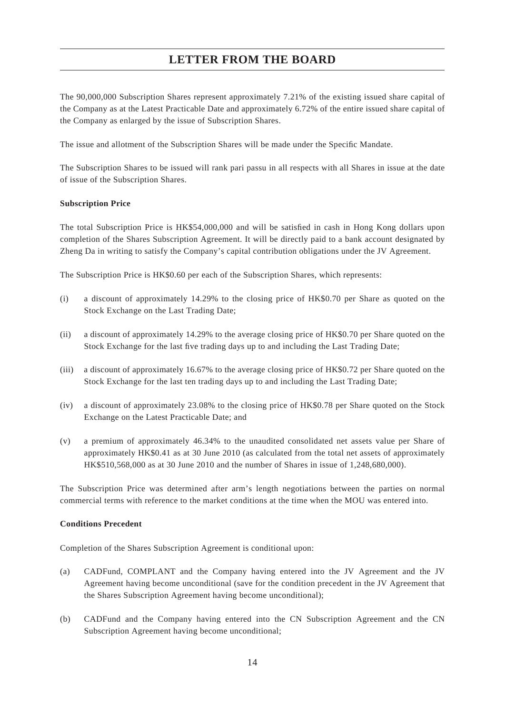The 90,000,000 Subscription Shares represent approximately 7.21% of the existing issued share capital of the Company as at the Latest Practicable Date and approximately 6.72% of the entire issued share capital of the Company as enlarged by the issue of Subscription Shares.

The issue and allotment of the Subscription Shares will be made under the Specific Mandate.

The Subscription Shares to be issued will rank pari passu in all respects with all Shares in issue at the date of issue of the Subscription Shares.

#### **Subscription Price**

The total Subscription Price is HK\$54,000,000 and will be satisfied in cash in Hong Kong dollars upon completion of the Shares Subscription Agreement. It will be directly paid to a bank account designated by Zheng Da in writing to satisfy the Company's capital contribution obligations under the JV Agreement.

The Subscription Price is HK\$0.60 per each of the Subscription Shares, which represents:

- (i) a discount of approximately 14.29% to the closing price of HK\$0.70 per Share as quoted on the Stock Exchange on the Last Trading Date;
- (ii) a discount of approximately 14.29% to the average closing price of HK\$0.70 per Share quoted on the Stock Exchange for the last five trading days up to and including the Last Trading Date;
- (iii) a discount of approximately 16.67% to the average closing price of HK\$0.72 per Share quoted on the Stock Exchange for the last ten trading days up to and including the Last Trading Date;
- (iv) a discount of approximately 23.08% to the closing price of HK\$0.78 per Share quoted on the Stock Exchange on the Latest Practicable Date; and
- (v) a premium of approximately 46.34% to the unaudited consolidated net assets value per Share of approximately HK\$0.41 as at 30 June 2010 (as calculated from the total net assets of approximately HK\$510,568,000 as at 30 June 2010 and the number of Shares in issue of 1,248,680,000).

The Subscription Price was determined after arm's length negotiations between the parties on normal commercial terms with reference to the market conditions at the time when the MOU was entered into.

#### **Conditions Precedent**

Completion of the Shares Subscription Agreement is conditional upon:

- (a) CADFund, COMPLANT and the Company having entered into the JV Agreement and the JV Agreement having become unconditional (save for the condition precedent in the JV Agreement that the Shares Subscription Agreement having become unconditional);
- (b) CADFund and the Company having entered into the CN Subscription Agreement and the CN Subscription Agreement having become unconditional;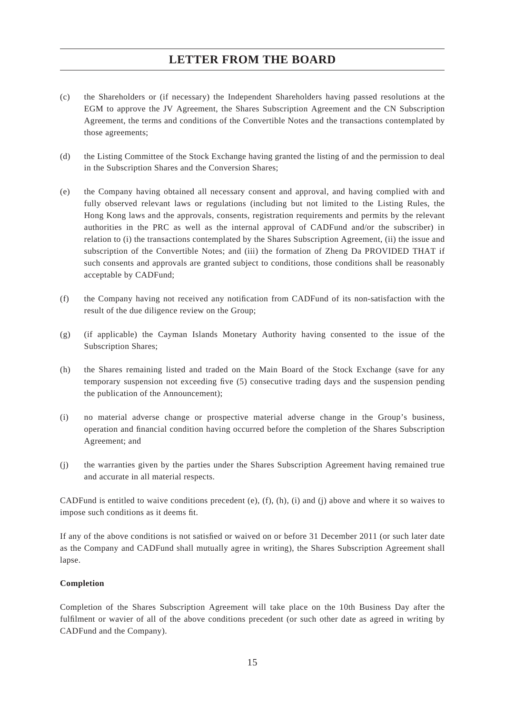- (c) the Shareholders or (if necessary) the Independent Shareholders having passed resolutions at the EGM to approve the JV Agreement, the Shares Subscription Agreement and the CN Subscription Agreement, the terms and conditions of the Convertible Notes and the transactions contemplated by those agreements;
- (d) the Listing Committee of the Stock Exchange having granted the listing of and the permission to deal in the Subscription Shares and the Conversion Shares;
- (e) the Company having obtained all necessary consent and approval, and having complied with and fully observed relevant laws or regulations (including but not limited to the Listing Rules, the Hong Kong laws and the approvals, consents, registration requirements and permits by the relevant authorities in the PRC as well as the internal approval of CADFund and/or the subscriber) in relation to (i) the transactions contemplated by the Shares Subscription Agreement, (ii) the issue and subscription of the Convertible Notes; and (iii) the formation of Zheng Da PROVIDED THAT if such consents and approvals are granted subject to conditions, those conditions shall be reasonably acceptable by CADFund;
- (f) the Company having not received any notification from CADFund of its non-satisfaction with the result of the due diligence review on the Group;
- (g) (if applicable) the Cayman Islands Monetary Authority having consented to the issue of the Subscription Shares;
- (h) the Shares remaining listed and traded on the Main Board of the Stock Exchange (save for any temporary suspension not exceeding five (5) consecutive trading days and the suspension pending the publication of the Announcement);
- (i) no material adverse change or prospective material adverse change in the Group's business, operation and financial condition having occurred before the completion of the Shares Subscription Agreement; and
- (j) the warranties given by the parties under the Shares Subscription Agreement having remained true and accurate in all material respects.

CADFund is entitled to waive conditions precedent  $(e)$ ,  $(f)$ ,  $(h)$ ,  $(i)$  and  $(j)$  above and where it so waives to impose such conditions as it deems fit.

If any of the above conditions is not satisfied or waived on or before 31 December 2011 (or such later date as the Company and CADFund shall mutually agree in writing), the Shares Subscription Agreement shall lapse.

#### **Completion**

Completion of the Shares Subscription Agreement will take place on the 10th Business Day after the fulfilment or wavier of all of the above conditions precedent (or such other date as agreed in writing by CADFund and the Company).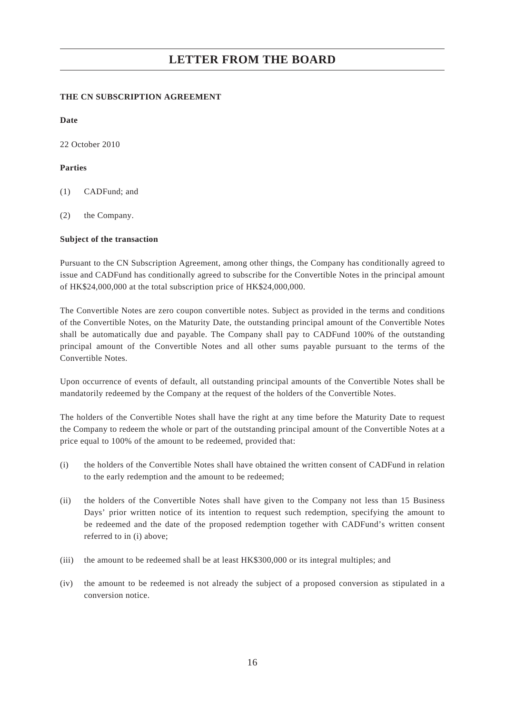#### **THE CN SUBSCRIPTION AGREEMENT**

**Date**

22 October 2010

#### **Parties**

- (1) CADFund; and
- (2) the Company.

#### **Subject of the transaction**

Pursuant to the CN Subscription Agreement, among other things, the Company has conditionally agreed to issue and CADFund has conditionally agreed to subscribe for the Convertible Notes in the principal amount of HK\$24,000,000 at the total subscription price of HK\$24,000,000.

The Convertible Notes are zero coupon convertible notes. Subject as provided in the terms and conditions of the Convertible Notes, on the Maturity Date, the outstanding principal amount of the Convertible Notes shall be automatically due and payable. The Company shall pay to CADFund 100% of the outstanding principal amount of the Convertible Notes and all other sums payable pursuant to the terms of the Convertible Notes.

Upon occurrence of events of default, all outstanding principal amounts of the Convertible Notes shall be mandatorily redeemed by the Company at the request of the holders of the Convertible Notes.

The holders of the Convertible Notes shall have the right at any time before the Maturity Date to request the Company to redeem the whole or part of the outstanding principal amount of the Convertible Notes at a price equal to 100% of the amount to be redeemed, provided that:

- (i) the holders of the Convertible Notes shall have obtained the written consent of CADFund in relation to the early redemption and the amount to be redeemed;
- (ii) the holders of the Convertible Notes shall have given to the Company not less than 15 Business Days' prior written notice of its intention to request such redemption, specifying the amount to be redeemed and the date of the proposed redemption together with CADFund's written consent referred to in (i) above;
- (iii) the amount to be redeemed shall be at least HK\$300,000 or its integral multiples; and
- (iv) the amount to be redeemed is not already the subject of a proposed conversion as stipulated in a conversion notice.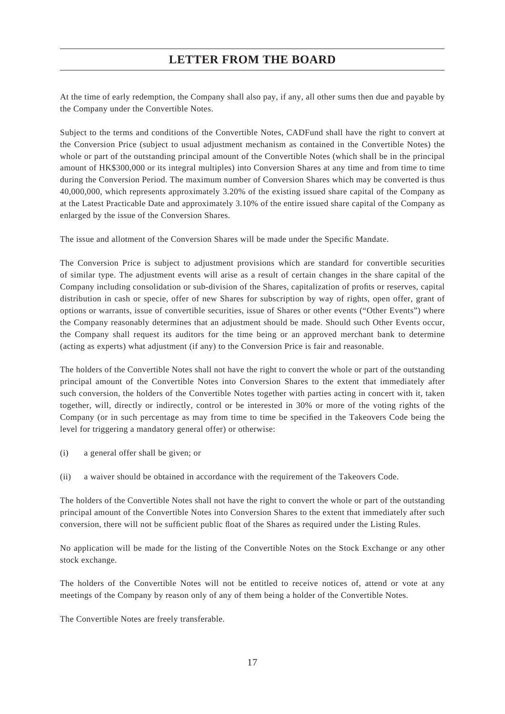At the time of early redemption, the Company shall also pay, if any, all other sums then due and payable by the Company under the Convertible Notes.

Subject to the terms and conditions of the Convertible Notes, CADFund shall have the right to convert at the Conversion Price (subject to usual adjustment mechanism as contained in the Convertible Notes) the whole or part of the outstanding principal amount of the Convertible Notes (which shall be in the principal amount of HK\$300,000 or its integral multiples) into Conversion Shares at any time and from time to time during the Conversion Period. The maximum number of Conversion Shares which may be converted is thus 40,000,000, which represents approximately 3.20% of the existing issued share capital of the Company as at the Latest Practicable Date and approximately 3.10% of the entire issued share capital of the Company as enlarged by the issue of the Conversion Shares.

The issue and allotment of the Conversion Shares will be made under the Specific Mandate.

The Conversion Price is subject to adjustment provisions which are standard for convertible securities of similar type. The adjustment events will arise as a result of certain changes in the share capital of the Company including consolidation or sub-division of the Shares, capitalization of profits or reserves, capital distribution in cash or specie, offer of new Shares for subscription by way of rights, open offer, grant of options or warrants, issue of convertible securities, issue of Shares or other events ("Other Events") where the Company reasonably determines that an adjustment should be made. Should such Other Events occur, the Company shall request its auditors for the time being or an approved merchant bank to determine (acting as experts) what adjustment (if any) to the Conversion Price is fair and reasonable.

The holders of the Convertible Notes shall not have the right to convert the whole or part of the outstanding principal amount of the Convertible Notes into Conversion Shares to the extent that immediately after such conversion, the holders of the Convertible Notes together with parties acting in concert with it, taken together, will, directly or indirectly, control or be interested in 30% or more of the voting rights of the Company (or in such percentage as may from time to time be specified in the Takeovers Code being the level for triggering a mandatory general offer) or otherwise:

(i) a general offer shall be given; or

(ii) a waiver should be obtained in accordance with the requirement of the Takeovers Code.

The holders of the Convertible Notes shall not have the right to convert the whole or part of the outstanding principal amount of the Convertible Notes into Conversion Shares to the extent that immediately after such conversion, there will not be sufficient public float of the Shares as required under the Listing Rules.

No application will be made for the listing of the Convertible Notes on the Stock Exchange or any other stock exchange.

The holders of the Convertible Notes will not be entitled to receive notices of, attend or vote at any meetings of the Company by reason only of any of them being a holder of the Convertible Notes.

The Convertible Notes are freely transferable.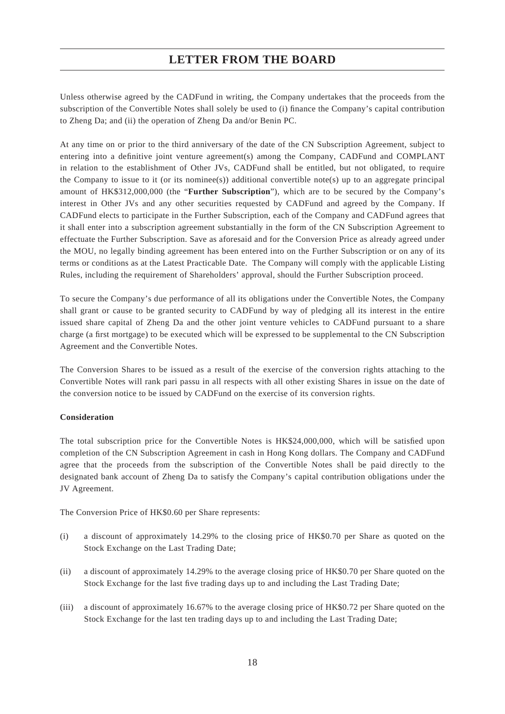Unless otherwise agreed by the CADFund in writing, the Company undertakes that the proceeds from the subscription of the Convertible Notes shall solely be used to (i) finance the Company's capital contribution to Zheng Da; and (ii) the operation of Zheng Da and/or Benin PC.

At any time on or prior to the third anniversary of the date of the CN Subscription Agreement, subject to entering into a definitive joint venture agreement(s) among the Company, CADFund and COMPLANT in relation to the establishment of Other JVs, CADFund shall be entitled, but not obligated, to require the Company to issue to it (or its nominee(s)) additional convertible note(s) up to an aggregate principal amount of HK\$312,000,000 (the "**Further Subscription**"), which are to be secured by the Company's interest in Other JVs and any other securities requested by CADFund and agreed by the Company. If CADFund elects to participate in the Further Subscription, each of the Company and CADFund agrees that it shall enter into a subscription agreement substantially in the form of the CN Subscription Agreement to effectuate the Further Subscription. Save as aforesaid and for the Conversion Price as already agreed under the MOU, no legally binding agreement has been entered into on the Further Subscription or on any of its terms or conditions as at the Latest Practicable Date. The Company will comply with the applicable Listing Rules, including the requirement of Shareholders' approval, should the Further Subscription proceed.

To secure the Company's due performance of all its obligations under the Convertible Notes, the Company shall grant or cause to be granted security to CADFund by way of pledging all its interest in the entire issued share capital of Zheng Da and the other joint venture vehicles to CADFund pursuant to a share charge (a first mortgage) to be executed which will be expressed to be supplemental to the CN Subscription Agreement and the Convertible Notes.

The Conversion Shares to be issued as a result of the exercise of the conversion rights attaching to the Convertible Notes will rank pari passu in all respects with all other existing Shares in issue on the date of the conversion notice to be issued by CADFund on the exercise of its conversion rights.

#### **Consideration**

The total subscription price for the Convertible Notes is HK\$24,000,000, which will be satisfied upon completion of the CN Subscription Agreement in cash in Hong Kong dollars. The Company and CADFund agree that the proceeds from the subscription of the Convertible Notes shall be paid directly to the designated bank account of Zheng Da to satisfy the Company's capital contribution obligations under the JV Agreement.

The Conversion Price of HK\$0.60 per Share represents:

- (i) a discount of approximately 14.29% to the closing price of HK\$0.70 per Share as quoted on the Stock Exchange on the Last Trading Date;
- (ii) a discount of approximately 14.29% to the average closing price of HK\$0.70 per Share quoted on the Stock Exchange for the last five trading days up to and including the Last Trading Date;
- (iii) a discount of approximately 16.67% to the average closing price of HK\$0.72 per Share quoted on the Stock Exchange for the last ten trading days up to and including the Last Trading Date;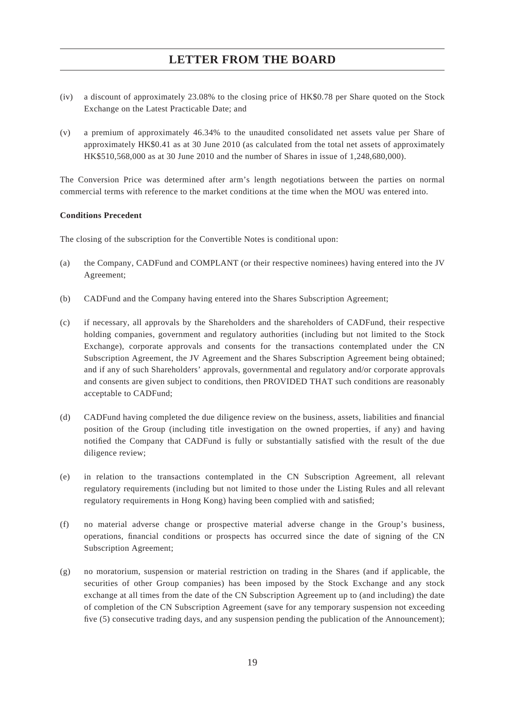- (iv) a discount of approximately 23.08% to the closing price of HK\$0.78 per Share quoted on the Stock Exchange on the Latest Practicable Date; and
- (v) a premium of approximately 46.34% to the unaudited consolidated net assets value per Share of approximately HK\$0.41 as at 30 June 2010 (as calculated from the total net assets of approximately HK\$510,568,000 as at 30 June 2010 and the number of Shares in issue of 1,248,680,000).

The Conversion Price was determined after arm's length negotiations between the parties on normal commercial terms with reference to the market conditions at the time when the MOU was entered into.

#### **Conditions Precedent**

The closing of the subscription for the Convertible Notes is conditional upon:

- (a) the Company, CADFund and COMPLANT (or their respective nominees) having entered into the JV Agreement;
- (b) CADFund and the Company having entered into the Shares Subscription Agreement;
- (c) if necessary, all approvals by the Shareholders and the shareholders of CADFund, their respective holding companies, government and regulatory authorities (including but not limited to the Stock Exchange), corporate approvals and consents for the transactions contemplated under the CN Subscription Agreement, the JV Agreement and the Shares Subscription Agreement being obtained; and if any of such Shareholders' approvals, governmental and regulatory and/or corporate approvals and consents are given subject to conditions, then PROVIDED THAT such conditions are reasonably acceptable to CADFund;
- (d) CADFund having completed the due diligence review on the business, assets, liabilities and financial position of the Group (including title investigation on the owned properties, if any) and having notified the Company that CADFund is fully or substantially satisfied with the result of the due diligence review;
- (e) in relation to the transactions contemplated in the CN Subscription Agreement, all relevant regulatory requirements (including but not limited to those under the Listing Rules and all relevant regulatory requirements in Hong Kong) having been complied with and satisfied;
- (f) no material adverse change or prospective material adverse change in the Group's business, operations, financial conditions or prospects has occurred since the date of signing of the CN Subscription Agreement;
- (g) no moratorium, suspension or material restriction on trading in the Shares (and if applicable, the securities of other Group companies) has been imposed by the Stock Exchange and any stock exchange at all times from the date of the CN Subscription Agreement up to (and including) the date of completion of the CN Subscription Agreement (save for any temporary suspension not exceeding five (5) consecutive trading days, and any suspension pending the publication of the Announcement):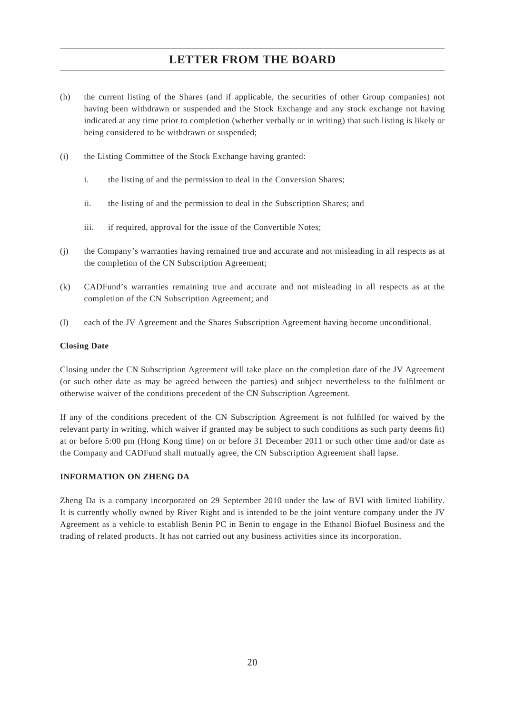- (h) the current listing of the Shares (and if applicable, the securities of other Group companies) not having been withdrawn or suspended and the Stock Exchange and any stock exchange not having indicated at any time prior to completion (whether verbally or in writing) that such listing is likely or being considered to be withdrawn or suspended;
- (i) the Listing Committee of the Stock Exchange having granted:
	- i. the listing of and the permission to deal in the Conversion Shares;
	- ii. the listing of and the permission to deal in the Subscription Shares; and
	- iii. if required, approval for the issue of the Convertible Notes;
- (j) the Company's warranties having remained true and accurate and not misleading in all respects as at the completion of the CN Subscription Agreement;
- (k) CADFund's warranties remaining true and accurate and not misleading in all respects as at the completion of the CN Subscription Agreement; and
- (l) each of the JV Agreement and the Shares Subscription Agreement having become unconditional.

#### **Closing Date**

Closing under the CN Subscription Agreement will take place on the completion date of the JV Agreement (or such other date as may be agreed between the parties) and subject nevertheless to the fulfilment or otherwise waiver of the conditions precedent of the CN Subscription Agreement.

If any of the conditions precedent of the CN Subscription Agreement is not fulfilled (or waived by the relevant party in writing, which waiver if granted may be subject to such conditions as such party deems fit) at or before 5:00 pm (Hong Kong time) on or before 31 December 2011 or such other time and/or date as the Company and CADFund shall mutually agree, the CN Subscription Agreement shall lapse.

#### **INFORMATION ON ZHENG DA**

Zheng Da is a company incorporated on 29 September 2010 under the law of BVI with limited liability. It is currently wholly owned by River Right and is intended to be the joint venture company under the JV Agreement as a vehicle to establish Benin PC in Benin to engage in the Ethanol Biofuel Business and the trading of related products. It has not carried out any business activities since its incorporation.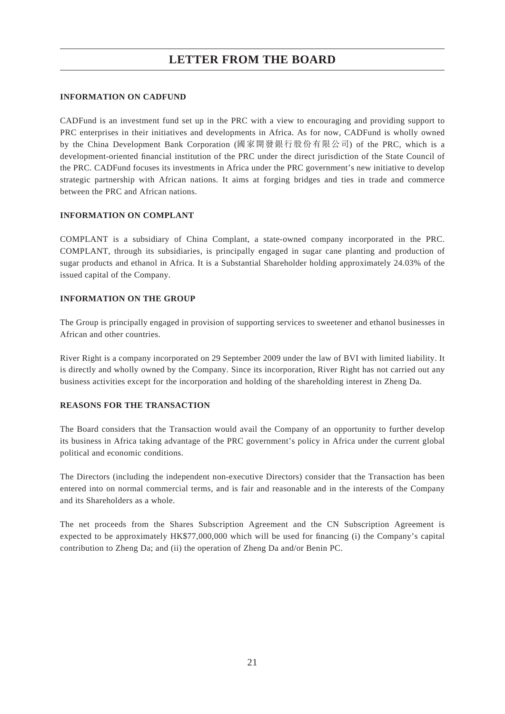#### **INFORMATION ON CADFUND**

CADFund is an investment fund set up in the PRC with a view to encouraging and providing support to PRC enterprises in their initiatives and developments in Africa. As for now, CADFund is wholly owned by the China Development Bank Corporation (國家開發銀行股份有限公司) of the PRC, which is a development-oriented financial institution of the PRC under the direct jurisdiction of the State Council of the PRC. CADFund focuses its investments in Africa under the PRC government's new initiative to develop strategic partnership with African nations. It aims at forging bridges and ties in trade and commerce between the PRC and African nations.

#### **INFORMATION ON COMPLANT**

COMPLANT is a subsidiary of China Complant, a state-owned company incorporated in the PRC. COMPLANT, through its subsidiaries, is principally engaged in sugar cane planting and production of sugar products and ethanol in Africa. It is a Substantial Shareholder holding approximately 24.03% of the issued capital of the Company.

#### **INFORMATION ON THE GROUP**

The Group is principally engaged in provision of supporting services to sweetener and ethanol businesses in African and other countries.

River Right is a company incorporated on 29 September 2009 under the law of BVI with limited liability. It is directly and wholly owned by the Company. Since its incorporation, River Right has not carried out any business activities except for the incorporation and holding of the shareholding interest in Zheng Da.

#### **REASONS FOR THE TRANSACTION**

The Board considers that the Transaction would avail the Company of an opportunity to further develop its business in Africa taking advantage of the PRC government's policy in Africa under the current global political and economic conditions.

The Directors (including the independent non-executive Directors) consider that the Transaction has been entered into on normal commercial terms, and is fair and reasonable and in the interests of the Company and its Shareholders as a whole.

The net proceeds from the Shares Subscription Agreement and the CN Subscription Agreement is expected to be approximately HK\$77,000,000 which will be used for financing (i) the Company's capital contribution to Zheng Da; and (ii) the operation of Zheng Da and/or Benin PC.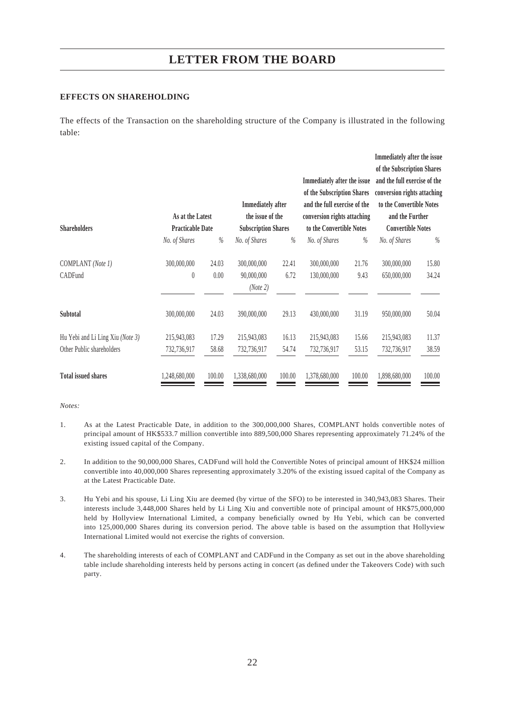#### **EFFECTS ON SHAREHOLDING**

The effects of the Transaction on the shareholding structure of the Company is illustrated in the following table:

|                                  |                         |        |                            |        |                              |        | Immediately after the issue  |        |
|----------------------------------|-------------------------|--------|----------------------------|--------|------------------------------|--------|------------------------------|--------|
|                                  |                         |        |                            |        |                              |        | of the Subscription Shares   |        |
|                                  |                         |        |                            |        | Immediately after the issue  |        | and the full exercise of the |        |
|                                  |                         |        |                            |        | of the Subscription Shares   |        | conversion rights attaching  |        |
|                                  |                         |        | <b>Immediately after</b>   |        | and the full exercise of the |        | to the Convertible Notes     |        |
|                                  | As at the Latest        |        | the issue of the           |        | conversion rights attaching  |        | and the Further              |        |
| <b>Shareholders</b>              | <b>Practicable Date</b> |        | <b>Subscription Shares</b> |        | to the Convertible Notes     |        | <b>Convertible Notes</b>     |        |
|                                  | No. of Shares           | $\%$   | No. of Shares              | %      | No. of Shares                | $\%$   | No. of Shares                | $\%$   |
| COMPLANT (Note 1)                | 300,000,000             | 24.03  | 300,000,000                | 22.41  | 300,000,000                  | 21.76  | 300,000,000                  | 15.80  |
| CADFund                          | $\pmb{0}$               | 0.00   | 90,000,000                 | 6.72   | 130,000,000                  | 9.43   | 650,000,000                  | 34.24  |
|                                  |                         |        | (Note 2)                   |        |                              |        |                              |        |
|                                  |                         |        |                            |        |                              |        |                              |        |
| Subtotal                         | 300,000,000             | 24.03  | 390,000,000                | 29.13  | 430,000,000                  | 31.19  | 950,000,000                  | 50.04  |
| Hu Yebi and Li Ling Xiu (Note 3) | 215,943,083             | 17.29  | 215,943,083                | 16.13  | 215,943,083                  | 15.66  | 215,943,083                  | 11.37  |
| Other Public shareholders        | 732,736,917             | 58.68  | 732,736,917                | 54.74  | 732,736,917                  | 53.15  | 732,736,917                  | 38.59  |
| <b>Total issued shares</b>       | 1,248,680,000           | 100.00 | 1,338,680,000              | 100.00 | 1,378,680,000                | 100.00 | 1,898,680,000                | 100.00 |

#### *Notes:*

- 1. As at the Latest Practicable Date, in addition to the 300,000,000 Shares, COMPLANT holds convertible notes of principal amount of HK\$533.7 million convertible into 889,500,000 Shares representing approximately 71.24% of the existing issued capital of the Company.
- 2. In addition to the 90,000,000 Shares, CADFund will hold the Convertible Notes of principal amount of HK\$24 million convertible into 40,000,000 Shares representing approximately 3.20% of the existing issued capital of the Company as at the Latest Practicable Date.
- 3. Hu Yebi and his spouse, Li Ling Xiu are deemed (by virtue of the SFO) to be interested in 340,943,083 Shares. Their interests include 3,448,000 Shares held by Li Ling Xiu and convertible note of principal amount of HK\$75,000,000 held by Hollyview International Limited, a company beneficially owned by Hu Yebi, which can be converted into 125,000,000 Shares during its conversion period. The above table is based on the assumption that Hollyview International Limited would not exercise the rights of conversion.
- 4. The shareholding interests of each of COMPLANT and CADFund in the Company as set out in the above shareholding table include shareholding interests held by persons acting in concert (as defined under the Takeovers Code) with such party.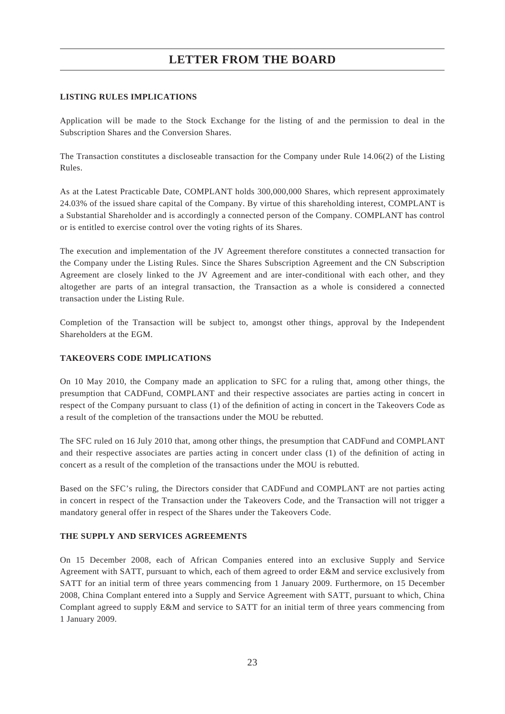#### **LISTING RULES IMPLICATIONS**

Application will be made to the Stock Exchange for the listing of and the permission to deal in the Subscription Shares and the Conversion Shares.

The Transaction constitutes a discloseable transaction for the Company under Rule 14.06(2) of the Listing Rules.

As at the Latest Practicable Date, COMPLANT holds 300,000,000 Shares, which represent approximately 24.03% of the issued share capital of the Company. By virtue of this shareholding interest, COMPLANT is a Substantial Shareholder and is accordingly a connected person of the Company. COMPLANT has control or is entitled to exercise control over the voting rights of its Shares.

The execution and implementation of the JV Agreement therefore constitutes a connected transaction for the Company under the Listing Rules. Since the Shares Subscription Agreement and the CN Subscription Agreement are closely linked to the JV Agreement and are inter-conditional with each other, and they altogether are parts of an integral transaction, the Transaction as a whole is considered a connected transaction under the Listing Rule.

Completion of the Transaction will be subject to, amongst other things, approval by the Independent Shareholders at the EGM.

#### **TAKEOVERS CODE IMPLICATIONS**

On 10 May 2010, the Company made an application to SFC for a ruling that, among other things, the presumption that CADFund, COMPLANT and their respective associates are parties acting in concert in respect of the Company pursuant to class (1) of the definition of acting in concert in the Takeovers Code as a result of the completion of the transactions under the MOU be rebutted.

The SFC ruled on 16 July 2010 that, among other things, the presumption that CADFund and COMPLANT and their respective associates are parties acting in concert under class (1) of the definition of acting in concert as a result of the completion of the transactions under the MOU is rebutted.

Based on the SFC's ruling, the Directors consider that CADFund and COMPLANT are not parties acting in concert in respect of the Transaction under the Takeovers Code, and the Transaction will not trigger a mandatory general offer in respect of the Shares under the Takeovers Code.

#### **THE SUPPLY AND SERVICES AGREEMENTS**

On 15 December 2008, each of African Companies entered into an exclusive Supply and Service Agreement with SATT, pursuant to which, each of them agreed to order E&M and service exclusively from SATT for an initial term of three years commencing from 1 January 2009. Furthermore, on 15 December 2008, China Complant entered into a Supply and Service Agreement with SATT, pursuant to which, China Complant agreed to supply E&M and service to SATT for an initial term of three years commencing from 1 January 2009.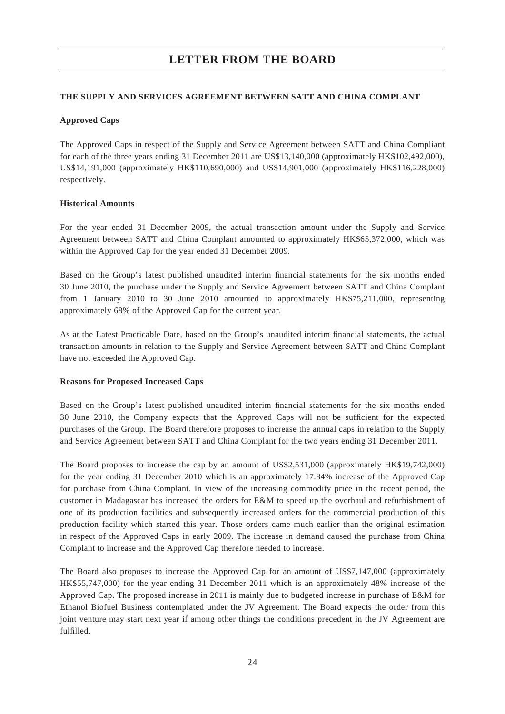#### **THE SUPPLY AND SERVICES AGREEMENT BETWEEN SATT AND CHINA COMPLANT**

### **Approved Caps**

The Approved Caps in respect of the Supply and Service Agreement between SATT and China Compliant for each of the three years ending 31 December 2011 are US\$13,140,000 (approximately HK\$102,492,000), US\$14,191,000 (approximately HK\$110,690,000) and US\$14,901,000 (approximately HK\$116,228,000) respectively.

### **Historical Amounts**

For the year ended 31 December 2009, the actual transaction amount under the Supply and Service Agreement between SATT and China Complant amounted to approximately HK\$65,372,000, which was within the Approved Cap for the year ended 31 December 2009.

Based on the Group's latest published unaudited interim financial statements for the six months ended 30 June 2010, the purchase under the Supply and Service Agreement between SATT and China Complant from 1 January 2010 to 30 June 2010 amounted to approximately HK\$75,211,000, representing approximately 68% of the Approved Cap for the current year.

As at the Latest Practicable Date, based on the Group's unaudited interim financial statements, the actual transaction amounts in relation to the Supply and Service Agreement between SATT and China Complant have not exceeded the Approved Cap.

#### **Reasons for Proposed Increased Caps**

Based on the Group's latest published unaudited interim financial statements for the six months ended 30 June 2010, the Company expects that the Approved Caps will not be sufficient for the expected purchases of the Group. The Board therefore proposes to increase the annual caps in relation to the Supply and Service Agreement between SATT and China Complant for the two years ending 31 December 2011.

The Board proposes to increase the cap by an amount of US\$2,531,000 (approximately HK\$19,742,000) for the year ending 31 December 2010 which is an approximately 17.84% increase of the Approved Cap for purchase from China Complant. In view of the increasing commodity price in the recent period, the customer in Madagascar has increased the orders for E&M to speed up the overhaul and refurbishment of one of its production facilities and subsequently increased orders for the commercial production of this production facility which started this year. Those orders came much earlier than the original estimation in respect of the Approved Caps in early 2009. The increase in demand caused the purchase from China Complant to increase and the Approved Cap therefore needed to increase.

The Board also proposes to increase the Approved Cap for an amount of US\$7,147,000 (approximately HK\$55,747,000) for the year ending 31 December 2011 which is an approximately 48% increase of the Approved Cap. The proposed increase in 2011 is mainly due to budgeted increase in purchase of E&M for Ethanol Biofuel Business contemplated under the JV Agreement. The Board expects the order from this joint venture may start next year if among other things the conditions precedent in the JV Agreement are fulfilled.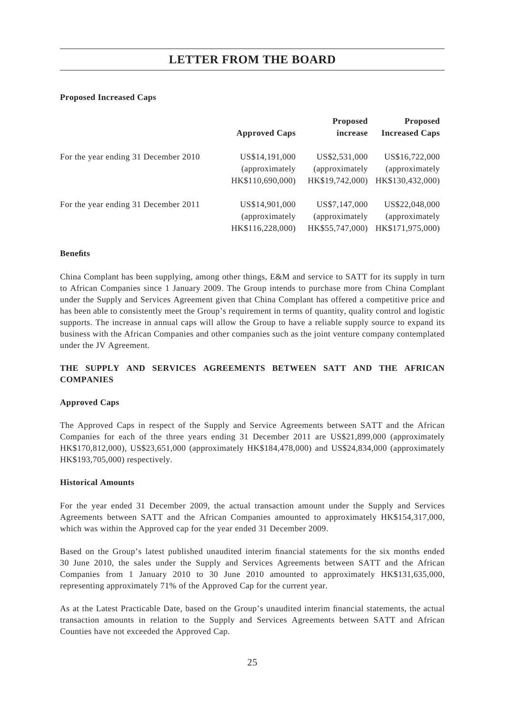#### **Proposed Increased Caps**

|                                      | <b>Approved Caps</b> | <b>Proposed</b><br>increase | <b>Proposed</b><br><b>Increased Caps</b> |
|--------------------------------------|----------------------|-----------------------------|------------------------------------------|
| For the year ending 31 December 2010 | US\$14,191,000       | US\$2,531,000               | US\$16,722,000                           |
|                                      | (approximately)      | (approximately)             | (approximately)                          |
|                                      | HK\$110,690,000)     | HK\$19,742,000)             | HK\$130,432,000)                         |
| For the year ending 31 December 2011 | US\$14,901,000       | US\$7,147,000               | US\$22,048,000                           |
|                                      | (approximately)      | (approximately              | (approximately)                          |
|                                      | HK\$116,228,000)     | HK\$55,747,000)             | HK\$171,975,000)                         |

#### **Benefi ts**

China Complant has been supplying, among other things, E&M and service to SATT for its supply in turn to African Companies since 1 January 2009. The Group intends to purchase more from China Complant under the Supply and Services Agreement given that China Complant has offered a competitive price and has been able to consistently meet the Group's requirement in terms of quantity, quality control and logistic supports. The increase in annual caps will allow the Group to have a reliable supply source to expand its business with the African Companies and other companies such as the joint venture company contemplated under the JV Agreement.

### **THE SUPPLY AND SERVICES AGREEMENTS BETWEEN SATT AND THE AFRICAN COMPANIES**

#### **Approved Caps**

The Approved Caps in respect of the Supply and Service Agreements between SATT and the African Companies for each of the three years ending 31 December 2011 are US\$21,899,000 (approximately HK\$170,812,000), US\$23,651,000 (approximately HK\$184,478,000) and US\$24,834,000 (approximately HK\$193,705,000) respectively.

#### **Historical Amounts**

For the year ended 31 December 2009, the actual transaction amount under the Supply and Services Agreements between SATT and the African Companies amounted to approximately HK\$154,317,000, which was within the Approved cap for the year ended 31 December 2009.

Based on the Group's latest published unaudited interim financial statements for the six months ended 30 June 2010, the sales under the Supply and Services Agreements between SATT and the African Companies from 1 January 2010 to 30 June 2010 amounted to approximately HK\$131,635,000, representing approximately 71% of the Approved Cap for the current year.

As at the Latest Practicable Date, based on the Group's unaudited interim financial statements, the actual transaction amounts in relation to the Supply and Services Agreements between SATT and African Counties have not exceeded the Approved Cap.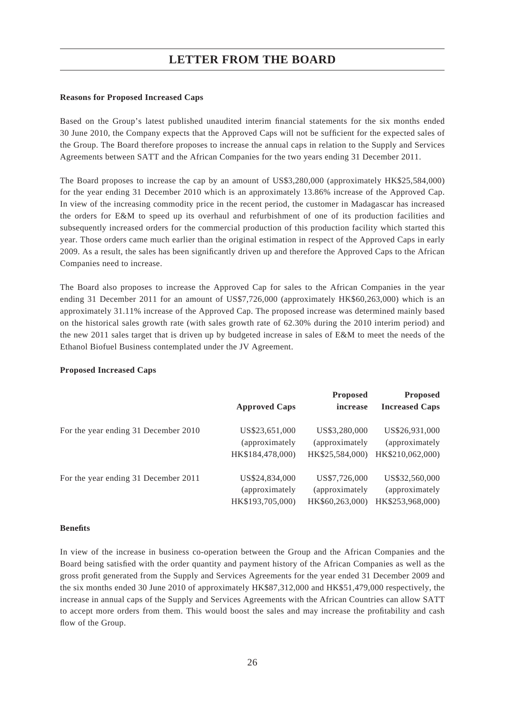#### **Reasons for Proposed Increased Caps**

Based on the Group's latest published unaudited interim financial statements for the six months ended 30 June 2010, the Company expects that the Approved Caps will not be sufficient for the expected sales of the Group. The Board therefore proposes to increase the annual caps in relation to the Supply and Services Agreements between SATT and the African Companies for the two years ending 31 December 2011.

The Board proposes to increase the cap by an amount of US\$3,280,000 (approximately HK\$25,584,000) for the year ending 31 December 2010 which is an approximately 13.86% increase of the Approved Cap. In view of the increasing commodity price in the recent period, the customer in Madagascar has increased the orders for E&M to speed up its overhaul and refurbishment of one of its production facilities and subsequently increased orders for the commercial production of this production facility which started this year. Those orders came much earlier than the original estimation in respect of the Approved Caps in early 2009. As a result, the sales has been significantly driven up and therefore the Approved Caps to the African Companies need to increase.

The Board also proposes to increase the Approved Cap for sales to the African Companies in the year ending 31 December 2011 for an amount of US\$7,726,000 (approximately HK\$60,263,000) which is an approximately 31.11% increase of the Approved Cap. The proposed increase was determined mainly based on the historical sales growth rate (with sales growth rate of 62.30% during the 2010 interim period) and the new 2011 sales target that is driven up by budgeted increase in sales of E&M to meet the needs of the Ethanol Biofuel Business contemplated under the JV Agreement.

#### **Proposed Increased Caps**

|                                      | <b>Approved Caps</b> | <b>Proposed</b><br>increase | <b>Proposed</b><br><b>Increased Caps</b> |
|--------------------------------------|----------------------|-----------------------------|------------------------------------------|
| For the year ending 31 December 2010 | US\$23,651,000       | US\$3,280,000               | US\$26,931,000                           |
|                                      | (approximately)      | (approximately              | (approximately                           |
|                                      | HK\$184,478,000)     | HK\$25,584,000)             | HK\$210,062,000)                         |
| For the year ending 31 December 2011 | US\$24,834,000       | US\$7,726,000               | US\$32,560,000                           |
|                                      | (approximately)      | (approximately)             | (approximately)                          |
|                                      | HK\$193,705,000)     | HK\$60,263,000)             | HK\$253,968,000)                         |

#### **Benefi ts**

In view of the increase in business co-operation between the Group and the African Companies and the Board being satisfied with the order quantity and payment history of the African Companies as well as the gross profit generated from the Supply and Services Agreements for the year ended 31 December 2009 and the six months ended 30 June 2010 of approximately HK\$87,312,000 and HK\$51,479,000 respectively, the increase in annual caps of the Supply and Services Agreements with the African Countries can allow SATT to accept more orders from them. This would boost the sales and may increase the profitability and cash flow of the Group.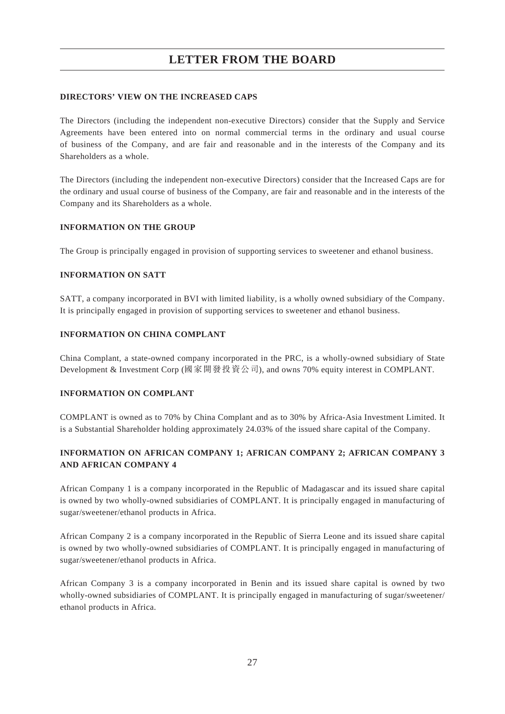#### **DIRECTORS' VIEW ON THE INCREASED CAPS**

The Directors (including the independent non-executive Directors) consider that the Supply and Service Agreements have been entered into on normal commercial terms in the ordinary and usual course of business of the Company, and are fair and reasonable and in the interests of the Company and its Shareholders as a whole.

The Directors (including the independent non-executive Directors) consider that the Increased Caps are for the ordinary and usual course of business of the Company, are fair and reasonable and in the interests of the Company and its Shareholders as a whole.

#### **INFORMATION ON THE GROUP**

The Group is principally engaged in provision of supporting services to sweetener and ethanol business.

#### **INFORMATION ON SATT**

SATT, a company incorporated in BVI with limited liability, is a wholly owned subsidiary of the Company. It is principally engaged in provision of supporting services to sweetener and ethanol business.

#### **INFORMATION ON CHINA COMPLANT**

China Complant, a state-owned company incorporated in the PRC, is a wholly-owned subsidiary of State Development & Investment Corp (國家開發投資公司), and owns 70% equity interest in COMPLANT.

#### **INFORMATION ON COMPLANT**

COMPLANT is owned as to 70% by China Complant and as to 30% by Africa-Asia Investment Limited. It is a Substantial Shareholder holding approximately 24.03% of the issued share capital of the Company.

## **INFORMATION ON AFRICAN COMPANY 1; AFRICAN COMPANY 2; AFRICAN COMPANY 3 AND AFRICAN COMPANY 4**

African Company 1 is a company incorporated in the Republic of Madagascar and its issued share capital is owned by two wholly-owned subsidiaries of COMPLANT. It is principally engaged in manufacturing of sugar/sweetener/ethanol products in Africa.

African Company 2 is a company incorporated in the Republic of Sierra Leone and its issued share capital is owned by two wholly-owned subsidiaries of COMPLANT. It is principally engaged in manufacturing of sugar/sweetener/ethanol products in Africa.

African Company 3 is a company incorporated in Benin and its issued share capital is owned by two wholly-owned subsidiaries of COMPLANT. It is principally engaged in manufacturing of sugar/sweetener/ ethanol products in Africa.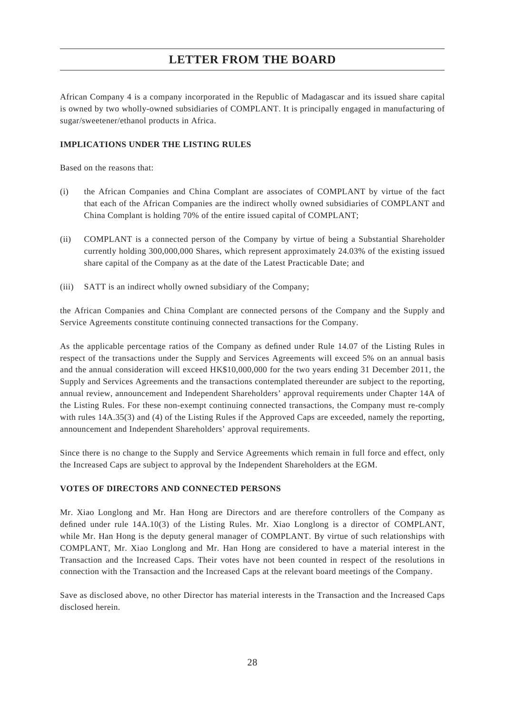African Company 4 is a company incorporated in the Republic of Madagascar and its issued share capital is owned by two wholly-owned subsidiaries of COMPLANT. It is principally engaged in manufacturing of sugar/sweetener/ethanol products in Africa.

#### **IMPLICATIONS UNDER THE LISTING RULES**

Based on the reasons that:

- (i) the African Companies and China Complant are associates of COMPLANT by virtue of the fact that each of the African Companies are the indirect wholly owned subsidiaries of COMPLANT and China Complant is holding 70% of the entire issued capital of COMPLANT;
- (ii) COMPLANT is a connected person of the Company by virtue of being a Substantial Shareholder currently holding 300,000,000 Shares, which represent approximately 24.03% of the existing issued share capital of the Company as at the date of the Latest Practicable Date; and
- (iii) SATT is an indirect wholly owned subsidiary of the Company;

the African Companies and China Complant are connected persons of the Company and the Supply and Service Agreements constitute continuing connected transactions for the Company.

As the applicable percentage ratios of the Company as defined under Rule 14.07 of the Listing Rules in respect of the transactions under the Supply and Services Agreements will exceed 5% on an annual basis and the annual consideration will exceed HK\$10,000,000 for the two years ending 31 December 2011, the Supply and Services Agreements and the transactions contemplated thereunder are subject to the reporting, annual review, announcement and Independent Shareholders' approval requirements under Chapter 14A of the Listing Rules. For these non-exempt continuing connected transactions, the Company must re-comply with rules 14A.35(3) and (4) of the Listing Rules if the Approved Caps are exceeded, namely the reporting, announcement and Independent Shareholders' approval requirements.

Since there is no change to the Supply and Service Agreements which remain in full force and effect, only the Increased Caps are subject to approval by the Independent Shareholders at the EGM.

#### **VOTES OF DIRECTORS AND CONNECTED PERSONS**

Mr. Xiao Longlong and Mr. Han Hong are Directors and are therefore controllers of the Company as defined under rule 14A.10(3) of the Listing Rules. Mr. Xiao Longlong is a director of COMPLANT, while Mr. Han Hong is the deputy general manager of COMPLANT. By virtue of such relationships with COMPLANT, Mr. Xiao Longlong and Mr. Han Hong are considered to have a material interest in the Transaction and the Increased Caps. Their votes have not been counted in respect of the resolutions in connection with the Transaction and the Increased Caps at the relevant board meetings of the Company.

Save as disclosed above, no other Director has material interests in the Transaction and the Increased Caps disclosed herein.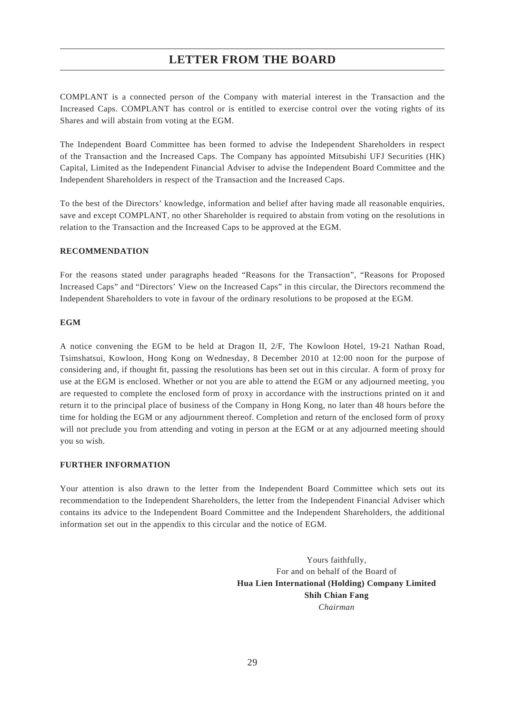COMPLANT is a connected person of the Company with material interest in the Transaction and the Increased Caps. COMPLANT has control or is entitled to exercise control over the voting rights of its Shares and will abstain from voting at the EGM.

The Independent Board Committee has been formed to advise the Independent Shareholders in respect of the Transaction and the Increased Caps. The Company has appointed Mitsubishi UFJ Securities (HK) Capital, Limited as the Independent Financial Adviser to advise the Independent Board Committee and the Independent Shareholders in respect of the Transaction and the Increased Caps.

To the best of the Directors' knowledge, information and belief after having made all reasonable enquiries, save and except COMPLANT, no other Shareholder is required to abstain from voting on the resolutions in relation to the Transaction and the Increased Caps to be approved at the EGM.

#### **RECOMMENDATION**

For the reasons stated under paragraphs headed "Reasons for the Transaction", "Reasons for Proposed Increased Caps" and "Directors' View on the Increased Caps" in this circular, the Directors recommend the Independent Shareholders to vote in favour of the ordinary resolutions to be proposed at the EGM.

#### **EGM**

A notice convening the EGM to be held at Dragon II, 2/F, The Kowloon Hotel, 19-21 Nathan Road, Tsimshatsui, Kowloon, Hong Kong on Wednesday, 8 December 2010 at 12:00 noon for the purpose of considering and, if thought fit, passing the resolutions has been set out in this circular. A form of proxy for use at the EGM is enclosed. Whether or not you are able to attend the EGM or any adjourned meeting, you are requested to complete the enclosed form of proxy in accordance with the instructions printed on it and return it to the principal place of business of the Company in Hong Kong, no later than 48 hours before the time for holding the EGM or any adjournment thereof. Completion and return of the enclosed form of proxy will not preclude you from attending and voting in person at the EGM or at any adjourned meeting should you so wish.

#### **FURTHER INFORMATION**

Your attention is also drawn to the letter from the Independent Board Committee which sets out its recommendation to the Independent Shareholders, the letter from the Independent Financial Adviser which contains its advice to the Independent Board Committee and the Independent Shareholders, the additional information set out in the appendix to this circular and the notice of EGM.

> Yours faithfully, For and on behalf of the Board of **Hua Lien International (Holding) Company Limited Shih Chian Fang** *Chairman*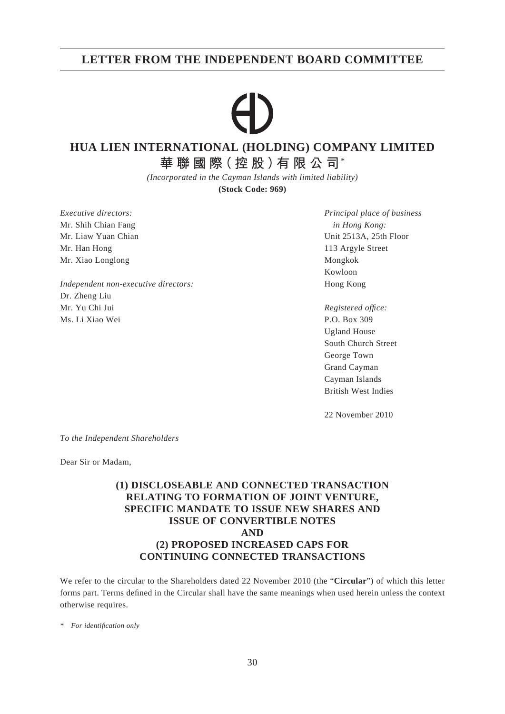## **LETTER FROM THE INDEPENDENT BOARD COMMITTEE**

# **HUA LIEN INTERNATIONAL (HOLDING) COMPANY LIMITED**

**華聯國際(控股)有限公司**\*

*(Incorporated in the Cayman Islands with limited liability)*

**(Stock Code: 969)**

Mr. Shih Chian Fang *in Hong Kong:* Mr. Han Hong 113 Argyle Street Mr. Xiao Longlong Mongkok Mongkok Mongkok Mongkok Mongkok Mongkok Mongkok Mongkok Mongkok Mongkok Mongkok Mongkok Mongkok Mongkok Mongkok Mongkok Mongkok Mongkok Mongkok Mongkok Mongkok Mongkok Mongkok Mongkok Mongkok Mong

*Independent non-executive directors:* Hong Kong Dr. Zheng Liu Mr. Yu Chi Jui *Registered offi ce:* Ms. Li Xiao Wei P.O. Box 309

*Executive directors: Principal place of business* Mr. Liaw Yuan Chian Unit 2513A, 25th Floor Kowloon

> Ugland House South Church Street George Town Grand Cayman Cayman Islands British West Indies

22 November 2010

*To the Independent Shareholders*

Dear Sir or Madam,

## **(1) DISCLOSEABLE AND CONNECTED TRANSACTION RELATING TO FORMATION OF JOINT VENTURE, SPECIFIC MANDATE TO ISSUE NEW SHARES AND ISSUE OF CONVERTIBLE NOTES AND (2) PROPOSED INCREASED CAPS FOR CONTINUING CONNECTED TRANSACTIONS**

We refer to the circular to the Shareholders dated 22 November 2010 (the "**Circular**") of which this letter forms part. Terms defined in the Circular shall have the same meanings when used herein unless the context otherwise requires.

*\* For identifi cation only*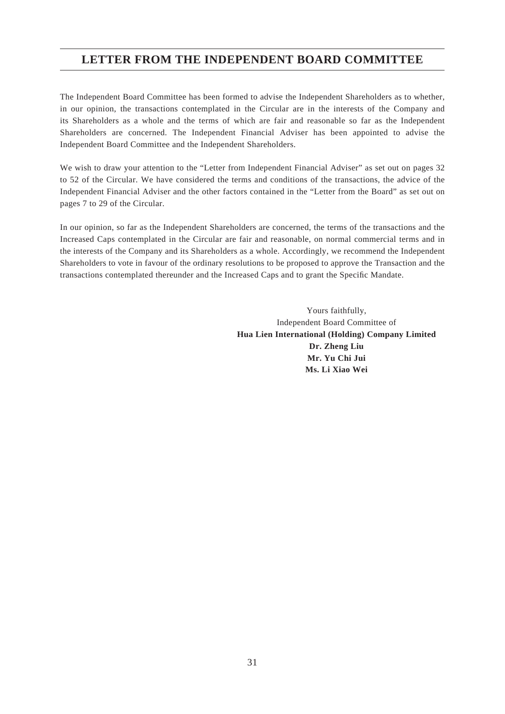# **LETTER FROM THE INDEPENDENT BOARD COMMITTEE**

The Independent Board Committee has been formed to advise the Independent Shareholders as to whether, in our opinion, the transactions contemplated in the Circular are in the interests of the Company and its Shareholders as a whole and the terms of which are fair and reasonable so far as the Independent Shareholders are concerned. The Independent Financial Adviser has been appointed to advise the Independent Board Committee and the Independent Shareholders.

We wish to draw your attention to the "Letter from Independent Financial Adviser" as set out on pages 32 to 52 of the Circular. We have considered the terms and conditions of the transactions, the advice of the Independent Financial Adviser and the other factors contained in the "Letter from the Board" as set out on pages 7 to 29 of the Circular.

In our opinion, so far as the Independent Shareholders are concerned, the terms of the transactions and the Increased Caps contemplated in the Circular are fair and reasonable, on normal commercial terms and in the interests of the Company and its Shareholders as a whole. Accordingly, we recommend the Independent Shareholders to vote in favour of the ordinary resolutions to be proposed to approve the Transaction and the transactions contemplated thereunder and the Increased Caps and to grant the Specific Mandate.

> Yours faithfully, Independent Board Committee of **Hua Lien International (Holding) Company Limited Dr. Zheng Liu Mr. Yu Chi Jui Ms. Li Xiao Wei**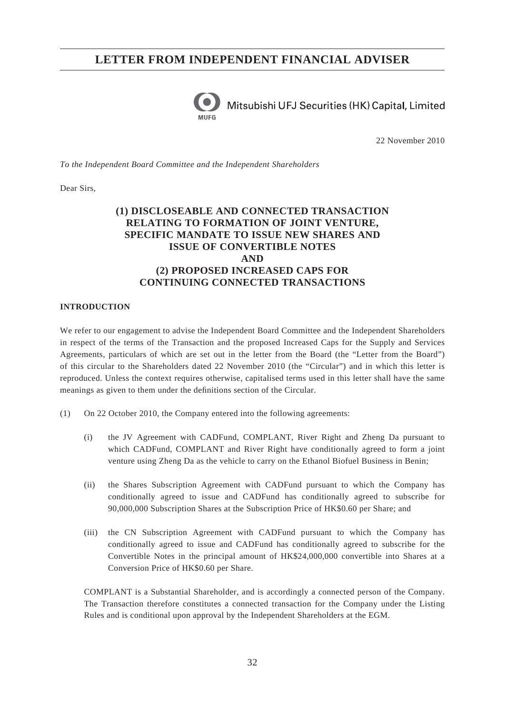

Mitsubishi UFJ Securities (HK) Capital, Limited

22 November 2010

*To the Independent Board Committee and the Independent Shareholders*

Dear Sirs,

## **(1) DISCLOSEABLE AND CONNECTED TRANSACTION RELATING TO FORMATION OF JOINT VENTURE, SPECIFIC MANDATE TO ISSUE NEW SHARES AND ISSUE OF CONVERTIBLE NOTES AND (2) PROPOSED INCREASED CAPS FOR CONTINUING CONNECTED TRANSACTIONS**

#### **INTRODUCTION**

We refer to our engagement to advise the Independent Board Committee and the Independent Shareholders in respect of the terms of the Transaction and the proposed Increased Caps for the Supply and Services Agreements, particulars of which are set out in the letter from the Board (the "Letter from the Board") of this circular to the Shareholders dated 22 November 2010 (the "Circular") and in which this letter is reproduced. Unless the context requires otherwise, capitalised terms used in this letter shall have the same meanings as given to them under the definitions section of the Circular.

- (1) On 22 October 2010, the Company entered into the following agreements:
	- (i) the JV Agreement with CADFund, COMPLANT, River Right and Zheng Da pursuant to which CADFund, COMPLANT and River Right have conditionally agreed to form a joint venture using Zheng Da as the vehicle to carry on the Ethanol Biofuel Business in Benin;
	- (ii) the Shares Subscription Agreement with CADFund pursuant to which the Company has conditionally agreed to issue and CADFund has conditionally agreed to subscribe for 90,000,000 Subscription Shares at the Subscription Price of HK\$0.60 per Share; and
	- (iii) the CN Subscription Agreement with CADFund pursuant to which the Company has conditionally agreed to issue and CADFund has conditionally agreed to subscribe for the Convertible Notes in the principal amount of HK\$24,000,000 convertible into Shares at a Conversion Price of HK\$0.60 per Share.

COMPLANT is a Substantial Shareholder, and is accordingly a connected person of the Company. The Transaction therefore constitutes a connected transaction for the Company under the Listing Rules and is conditional upon approval by the Independent Shareholders at the EGM.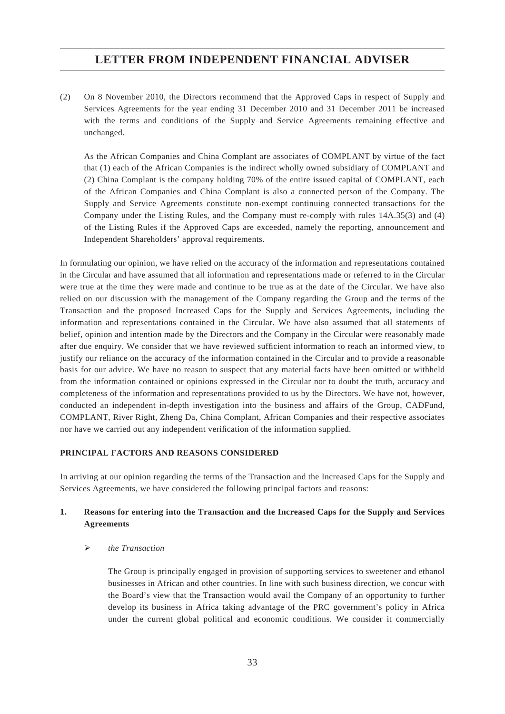(2) On 8 November 2010, the Directors recommend that the Approved Caps in respect of Supply and Services Agreements for the year ending 31 December 2010 and 31 December 2011 be increased with the terms and conditions of the Supply and Service Agreements remaining effective and unchanged.

As the African Companies and China Complant are associates of COMPLANT by virtue of the fact that (1) each of the African Companies is the indirect wholly owned subsidiary of COMPLANT and (2) China Complant is the company holding 70% of the entire issued capital of COMPLANT, each of the African Companies and China Complant is also a connected person of the Company. The Supply and Service Agreements constitute non-exempt continuing connected transactions for the Company under the Listing Rules, and the Company must re-comply with rules 14A.35(3) and (4) of the Listing Rules if the Approved Caps are exceeded, namely the reporting, announcement and Independent Shareholders' approval requirements.

In formulating our opinion, we have relied on the accuracy of the information and representations contained in the Circular and have assumed that all information and representations made or referred to in the Circular were true at the time they were made and continue to be true as at the date of the Circular. We have also relied on our discussion with the management of the Company regarding the Group and the terms of the Transaction and the proposed Increased Caps for the Supply and Services Agreements, including the information and representations contained in the Circular. We have also assumed that all statements of belief, opinion and intention made by the Directors and the Company in the Circular were reasonably made after due enquiry. We consider that we have reviewed sufficient information to reach an informed view, to justify our reliance on the accuracy of the information contained in the Circular and to provide a reasonable basis for our advice. We have no reason to suspect that any material facts have been omitted or withheld from the information contained or opinions expressed in the Circular nor to doubt the truth, accuracy and completeness of the information and representations provided to us by the Directors. We have not, however, conducted an independent in-depth investigation into the business and affairs of the Group, CADFund, COMPLANT, River Right, Zheng Da, China Complant, African Companies and their respective associates nor have we carried out any independent verification of the information supplied.

#### **PRINCIPAL FACTORS AND REASONS CONSIDERED**

In arriving at our opinion regarding the terms of the Transaction and the Increased Caps for the Supply and Services Agreements, we have considered the following principal factors and reasons:

### **1. Reasons for entering into the Transaction and the Increased Caps for the Supply and Services Agreements**

#### *the Transaction*

The Group is principally engaged in provision of supporting services to sweetener and ethanol businesses in African and other countries. In line with such business direction, we concur with the Board's view that the Transaction would avail the Company of an opportunity to further develop its business in Africa taking advantage of the PRC government's policy in Africa under the current global political and economic conditions. We consider it commercially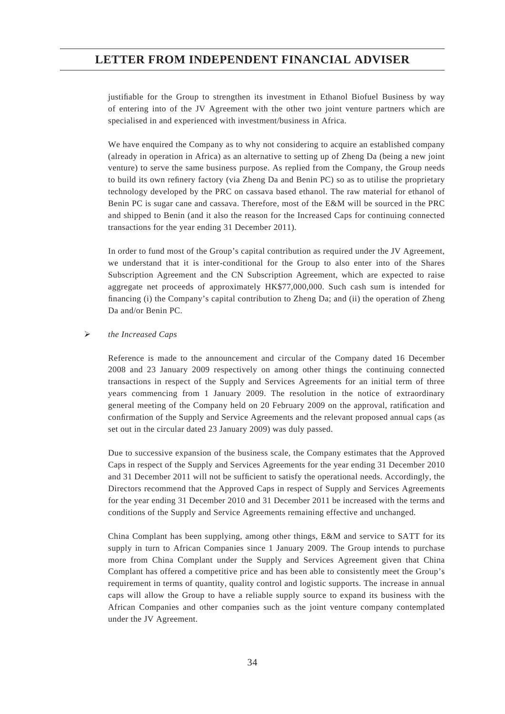justifiable for the Group to strengthen its investment in Ethanol Biofuel Business by way of entering into of the JV Agreement with the other two joint venture partners which are specialised in and experienced with investment/business in Africa.

We have enquired the Company as to why not considering to acquire an established company (already in operation in Africa) as an alternative to setting up of Zheng Da (being a new joint venture) to serve the same business purpose. As replied from the Company, the Group needs to build its own refinery factory (via Zheng Da and Benin PC) so as to utilise the proprietary technology developed by the PRC on cassava based ethanol. The raw material for ethanol of Benin PC is sugar cane and cassava. Therefore, most of the E&M will be sourced in the PRC and shipped to Benin (and it also the reason for the Increased Caps for continuing connected transactions for the year ending 31 December 2011).

In order to fund most of the Group's capital contribution as required under the JV Agreement, we understand that it is inter-conditional for the Group to also enter into of the Shares Subscription Agreement and the CN Subscription Agreement, which are expected to raise aggregate net proceeds of approximately HK\$77,000,000. Such cash sum is intended for financing (i) the Company's capital contribution to Zheng Da; and (ii) the operation of Zheng Da and/or Benin PC.

#### *the Increased Caps*

Reference is made to the announcement and circular of the Company dated 16 December 2008 and 23 January 2009 respectively on among other things the continuing connected transactions in respect of the Supply and Services Agreements for an initial term of three years commencing from 1 January 2009. The resolution in the notice of extraordinary general meeting of the Company held on 20 February 2009 on the approval, ratification and confirmation of the Supply and Service Agreements and the relevant proposed annual caps (as set out in the circular dated 23 January 2009) was duly passed.

Due to successive expansion of the business scale, the Company estimates that the Approved Caps in respect of the Supply and Services Agreements for the year ending 31 December 2010 and 31 December 2011 will not be sufficient to satisfy the operational needs. Accordingly, the Directors recommend that the Approved Caps in respect of Supply and Services Agreements for the year ending 31 December 2010 and 31 December 2011 be increased with the terms and conditions of the Supply and Service Agreements remaining effective and unchanged.

China Complant has been supplying, among other things, E&M and service to SATT for its supply in turn to African Companies since 1 January 2009. The Group intends to purchase more from China Complant under the Supply and Services Agreement given that China Complant has offered a competitive price and has been able to consistently meet the Group's requirement in terms of quantity, quality control and logistic supports. The increase in annual caps will allow the Group to have a reliable supply source to expand its business with the African Companies and other companies such as the joint venture company contemplated under the JV Agreement.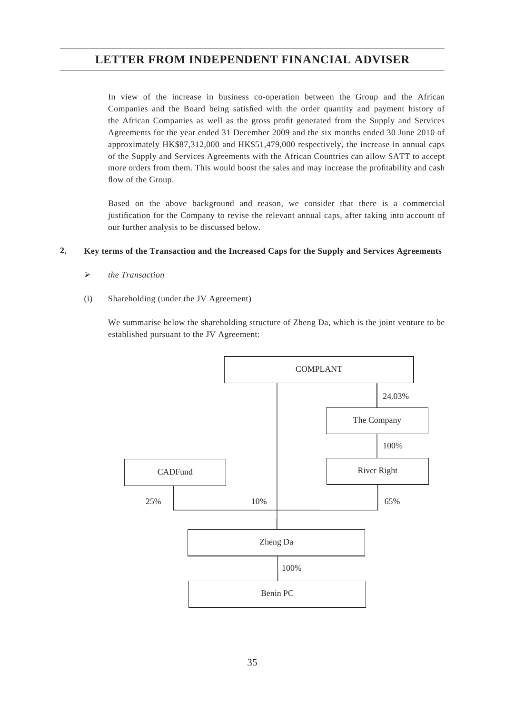In view of the increase in business co-operation between the Group and the African Companies and the Board being satisfied with the order quantity and payment history of the African Companies as well as the gross profit generated from the Supply and Services Agreements for the year ended 31 December 2009 and the six months ended 30 June 2010 of approximately HK\$87,312,000 and HK\$51,479,000 respectively, the increase in annual caps of the Supply and Services Agreements with the African Countries can allow SATT to accept more orders from them. This would boost the sales and may increase the profitability and cash flow of the Group.

Based on the above background and reason, we consider that there is a commercial justification for the Company to revise the relevant annual caps, after taking into account of our further analysis to be discussed below.

#### **2. Key terms of the Transaction and the Increased Caps for the Supply and Services Agreements**

- *the Transaction*
- (i) Shareholding (under the JV Agreement)

We summarise below the shareholding structure of Zheng Da, which is the joint venture to be established pursuant to the JV Agreement:

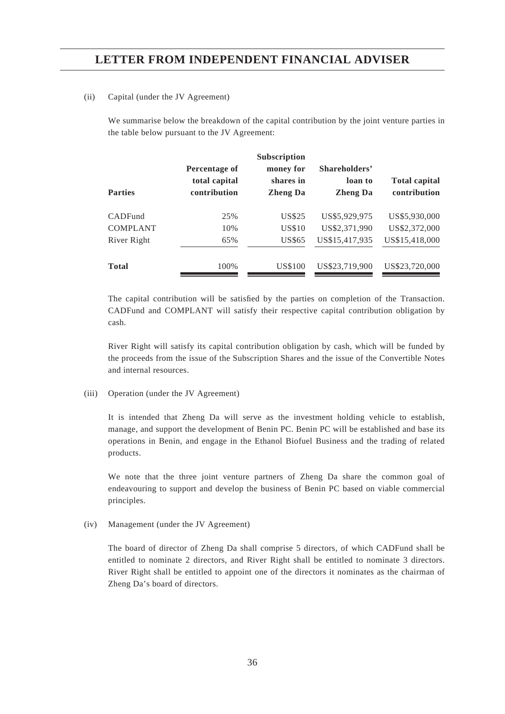#### (ii) Capital (under the JV Agreement)

We summarise below the breakdown of the capital contribution by the joint venture parties in the table below pursuant to the JV Agreement:

| <b>Parties</b>  | Percentage of<br>total capital<br>contribution | Subscription<br>money for<br>shares in<br><b>Zheng Da</b> | Shareholders'<br>loan to<br><b>Zheng Da</b> | <b>Total capital</b><br>contribution |
|-----------------|------------------------------------------------|-----------------------------------------------------------|---------------------------------------------|--------------------------------------|
| CADFund         | 25%                                            | US\$25                                                    | US\$5,929,975                               | US\$5,930,000                        |
| <b>COMPLANT</b> | 10%                                            | <b>US\$10</b>                                             | US\$2,371,990                               | US\$2,372,000                        |
| River Right     | 65%                                            | <b>US\$65</b>                                             | US\$15,417,935                              | US\$15,418,000                       |
| <b>Total</b>    | 100%                                           | US\$100                                                   | US\$23,719,900                              | US\$23,720,000                       |

The capital contribution will be satisfied by the parties on completion of the Transaction. CADFund and COMPLANT will satisfy their respective capital contribution obligation by cash.

River Right will satisfy its capital contribution obligation by cash, which will be funded by the proceeds from the issue of the Subscription Shares and the issue of the Convertible Notes and internal resources.

#### (iii) Operation (under the JV Agreement)

It is intended that Zheng Da will serve as the investment holding vehicle to establish, manage, and support the development of Benin PC. Benin PC will be established and base its operations in Benin, and engage in the Ethanol Biofuel Business and the trading of related products.

We note that the three joint venture partners of Zheng Da share the common goal of endeavouring to support and develop the business of Benin PC based on viable commercial principles.

(iv) Management (under the JV Agreement)

The board of director of Zheng Da shall comprise 5 directors, of which CADFund shall be entitled to nominate 2 directors, and River Right shall be entitled to nominate 3 directors. River Right shall be entitled to appoint one of the directors it nominates as the chairman of Zheng Da's board of directors.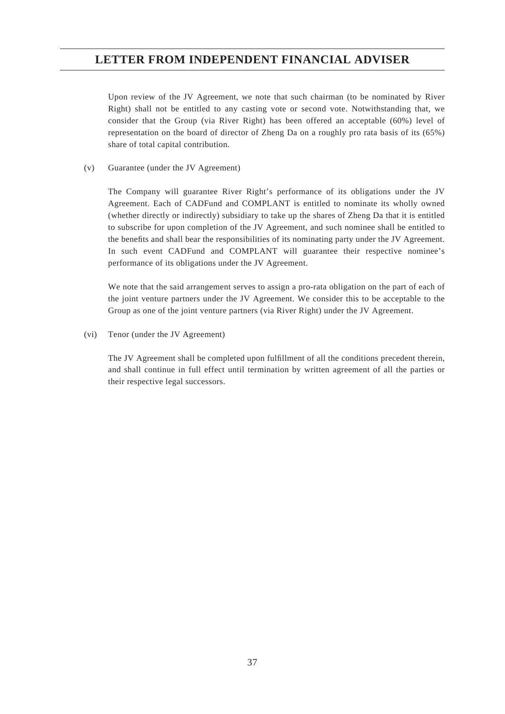Upon review of the JV Agreement, we note that such chairman (to be nominated by River Right) shall not be entitled to any casting vote or second vote. Notwithstanding that, we consider that the Group (via River Right) has been offered an acceptable (60%) level of representation on the board of director of Zheng Da on a roughly pro rata basis of its (65%) share of total capital contribution.

(v) Guarantee (under the JV Agreement)

The Company will guarantee River Right's performance of its obligations under the JV Agreement. Each of CADFund and COMPLANT is entitled to nominate its wholly owned (whether directly or indirectly) subsidiary to take up the shares of Zheng Da that it is entitled to subscribe for upon completion of the JV Agreement, and such nominee shall be entitled to the benefits and shall bear the responsibilities of its nominating party under the JV Agreement. In such event CADFund and COMPLANT will guarantee their respective nominee's performance of its obligations under the JV Agreement.

We note that the said arrangement serves to assign a pro-rata obligation on the part of each of the joint venture partners under the JV Agreement. We consider this to be acceptable to the Group as one of the joint venture partners (via River Right) under the JV Agreement.

(vi) Tenor (under the JV Agreement)

The JV Agreement shall be completed upon fulfillment of all the conditions precedent therein, and shall continue in full effect until termination by written agreement of all the parties or their respective legal successors.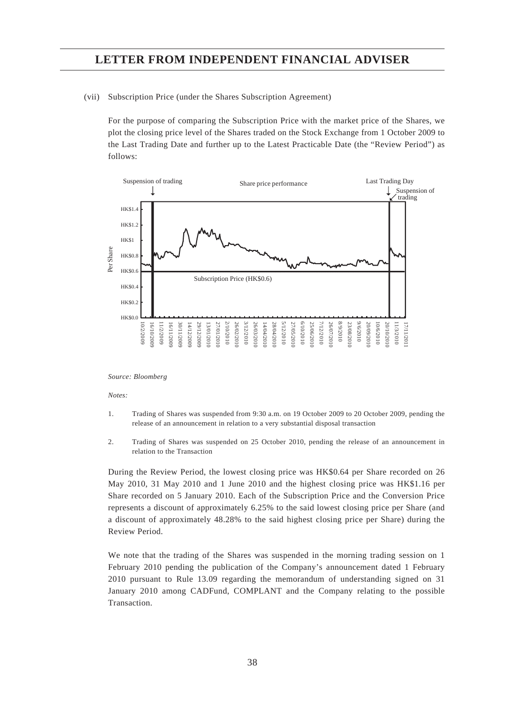(vii) Subscription Price (under the Shares Subscription Agreement)

For the purpose of comparing the Subscription Price with the market price of the Shares, we plot the closing price level of the Shares traded on the Stock Exchange from 1 October 2009 to the Last Trading Date and further up to the Latest Practicable Date (the "Review Period") as follows:



#### *Source: Bloomberg*

#### *Notes:*

- 1. Trading of Shares was suspended from 9:30 a.m. on 19 October 2009 to 20 October 2009, pending the release of an announcement in relation to a very substantial disposal transaction
- 2. Trading of Shares was suspended on 25 October 2010, pending the release of an announcement in relation to the Transaction

During the Review Period, the lowest closing price was HK\$0.64 per Share recorded on 26 May 2010, 31 May 2010 and 1 June 2010 and the highest closing price was HK\$1.16 per Share recorded on 5 January 2010. Each of the Subscription Price and the Conversion Price represents a discount of approximately 6.25% to the said lowest closing price per Share (and a discount of approximately 48.28% to the said highest closing price per Share) during the Review Period.

We note that the trading of the Shares was suspended in the morning trading session on 1 February 2010 pending the publication of the Company's announcement dated 1 February 2010 pursuant to Rule 13.09 regarding the memorandum of understanding signed on 31 January 2010 among CADFund, COMPLANT and the Company relating to the possible Transaction.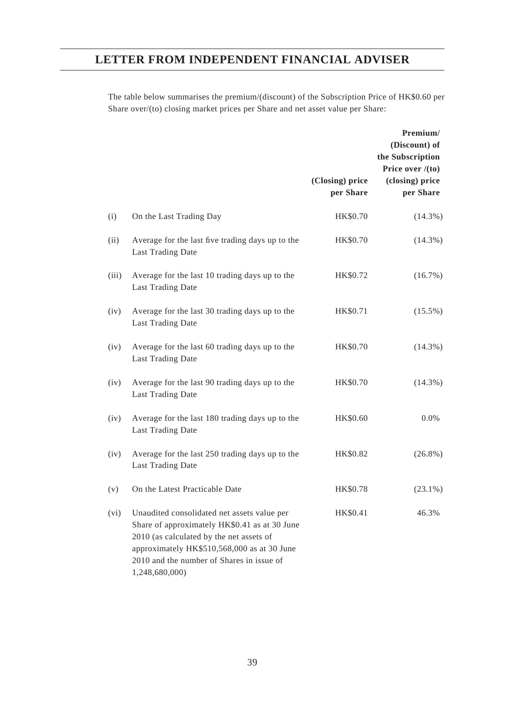The table below summarises the premium/(discount) of the Subscription Price of HK\$0.60 per Share over/(to) closing market prices per Share and net asset value per Share:

|       |                                                                                                                                                                                                                                                        | (Closing) price<br>per Share | Premium/<br>(Discount) of<br>the Subscription<br>Price over $/(to)$<br>(closing) price<br>per Share |
|-------|--------------------------------------------------------------------------------------------------------------------------------------------------------------------------------------------------------------------------------------------------------|------------------------------|-----------------------------------------------------------------------------------------------------|
| (i)   | On the Last Trading Day                                                                                                                                                                                                                                | HK\$0.70                     | $(14.3\%)$                                                                                          |
| (ii)  | Average for the last five trading days up to the<br><b>Last Trading Date</b>                                                                                                                                                                           | HK\$0.70                     | $(14.3\%)$                                                                                          |
| (iii) | Average for the last 10 trading days up to the<br><b>Last Trading Date</b>                                                                                                                                                                             | HK\$0.72                     | $(16.7\%)$                                                                                          |
| (iv)  | Average for the last 30 trading days up to the<br><b>Last Trading Date</b>                                                                                                                                                                             | HK\$0.71                     | $(15.5\%)$                                                                                          |
| (iv)  | Average for the last 60 trading days up to the<br>Last Trading Date                                                                                                                                                                                    | HK\$0.70                     | $(14.3\%)$                                                                                          |
| (iv)  | Average for the last 90 trading days up to the<br><b>Last Trading Date</b>                                                                                                                                                                             | HK\$0.70                     | $(14.3\%)$                                                                                          |
| (iv)  | Average for the last 180 trading days up to the<br>Last Trading Date                                                                                                                                                                                   | HK\$0.60                     | $0.0\%$                                                                                             |
| (iv)  | Average for the last 250 trading days up to the<br>Last Trading Date                                                                                                                                                                                   | HK\$0.82                     | $(26.8\%)$                                                                                          |
| (v)   | On the Latest Practicable Date                                                                                                                                                                                                                         | HK\$0.78                     | $(23.1\%)$                                                                                          |
| (vi)  | Unaudited consolidated net assets value per<br>Share of approximately HK\$0.41 as at 30 June<br>2010 (as calculated by the net assets of<br>approximately HK\$510,568,000 as at 30 June<br>2010 and the number of Shares in issue of<br>1,248,680,000) | HK\$0.41                     | 46.3%                                                                                               |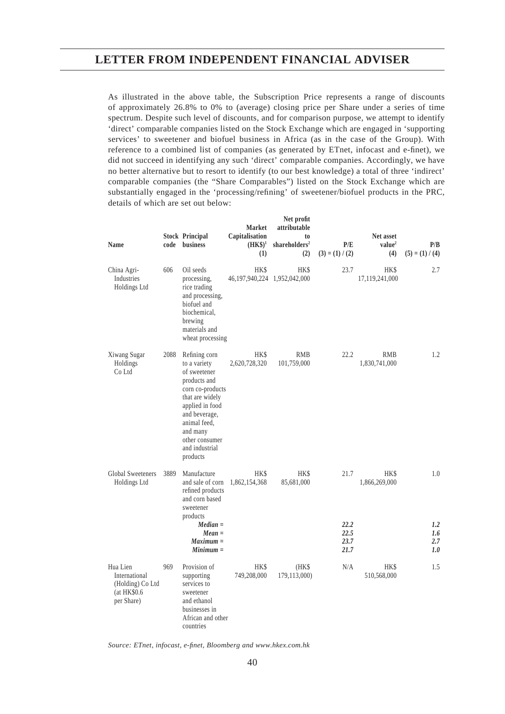As illustrated in the above table, the Subscription Price represents a range of discounts of approximately 26.8% to 0% to (average) closing price per Share under a series of time spectrum. Despite such level of discounts, and for comparison purpose, we attempt to identify 'direct' comparable companies listed on the Stock Exchange which are engaged in 'supporting services' to sweetener and biofuel business in Africa (as in the case of the Group). With reference to a combined list of companies (as generated by ETnet, infocast and e-finet), we did not succeed in identifying any such 'direct' comparable companies. Accordingly, we have no better alternative but to resort to identify (to our best knowledge) a total of three 'indirect' comparable companies (the "Share Comparables") listed on the Stock Exchange which are substantially engaged in the 'processing/refining' of sweetener/biofuel products in the PRC, details of which are set out below:

| <b>Name</b>                                                                 | code | <b>Stock Principal</b><br>business                                                                                                                                                                                   | <b>Market</b><br>Capitalisation<br>$(HK\$ <sup>1</sup><br>(1) | Net profit<br>attributable<br>t <sub>0</sub><br>shareholders <sup>2</sup><br>(2) | P/E<br>$(3) = (1) / (2)$             | Net asset<br>value <sup>2</sup><br>(4) | P/B<br>$(5) = (1) / (4)$        |
|-----------------------------------------------------------------------------|------|----------------------------------------------------------------------------------------------------------------------------------------------------------------------------------------------------------------------|---------------------------------------------------------------|----------------------------------------------------------------------------------|--------------------------------------|----------------------------------------|---------------------------------|
| China Agri-<br>Industries<br>Holdings Ltd                                   | 606  | Oil seeds<br>processing,<br>rice trading<br>and processing,<br>biofuel and<br>biochemical,<br>brewing<br>materials and<br>wheat processing                                                                           | HK\$<br>46, 197, 940, 224 1, 952, 042, 000                    | <b>HK\$</b>                                                                      | 23.7                                 | HK\$<br>17,119,241,000                 | 2.7                             |
| Xiwang Sugar<br>Holdings<br>Co Ltd                                          | 2088 | Refining corn<br>to a variety<br>of sweetener<br>products and<br>corn co-products<br>that are widely<br>applied in food<br>and beverage,<br>animal feed,<br>and many<br>other consumer<br>and industrial<br>products | HK\$<br>2,620,728,320                                         | <b>RMB</b><br>101,759,000                                                        | 22.2                                 | <b>RMB</b><br>1,830,741,000            | $1.2\,$                         |
| <b>Global Sweeteners</b><br>Holdings Ltd                                    | 3889 | Manufacture<br>and sale of corn<br>refined products<br>and corn based<br>sweetener<br>products<br>$Median =$<br>$Mean =$<br>$Maximum =$<br>$Minimum =$                                                               | HK\$<br>1,862,154,368                                         | HK\$<br>85,681,000                                                               | 21.7<br>22.2<br>22.5<br>23.7<br>21.7 | HK\$<br>1,866,269,000                  | 1.0<br>1.2<br>1.6<br>2.7<br>1.0 |
| Hua Lien<br>International<br>(Holding) Co Ltd<br>(at HK\$0.6)<br>per Share) | 969  | Provision of<br>supporting<br>services to<br>sweetener<br>and ethanol<br>businesses in<br>African and other<br>countries                                                                                             | <b>HKS</b><br>749,208,000                                     | (HK\$<br>179,113,000)                                                            | N/A                                  | <b>HKS</b><br>510,568,000              | 1.5                             |

*Source: ETnet, infocast, e-fi net, Bloomberg and www.hkex.com.hk*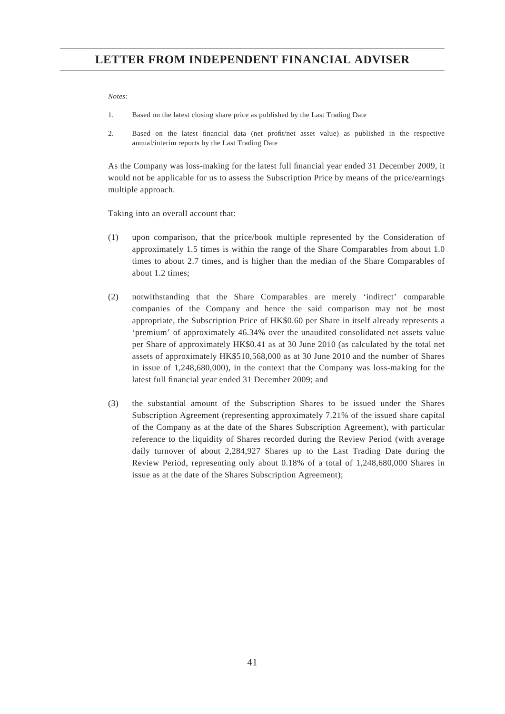#### *Notes:*

- 1. Based on the latest closing share price as published by the Last Trading Date
- 2. Based on the latest financial data (net profit/net asset value) as published in the respective annual/interim reports by the Last Trading Date

As the Company was loss-making for the latest full financial year ended 31 December 2009, it would not be applicable for us to assess the Subscription Price by means of the price/earnings multiple approach.

Taking into an overall account that:

- (1) upon comparison, that the price/book multiple represented by the Consideration of approximately 1.5 times is within the range of the Share Comparables from about 1.0 times to about 2.7 times, and is higher than the median of the Share Comparables of about 1.2 times;
- (2) notwithstanding that the Share Comparables are merely 'indirect' comparable companies of the Company and hence the said comparison may not be most appropriate, the Subscription Price of HK\$0.60 per Share in itself already represents a 'premium' of approximately 46.34% over the unaudited consolidated net assets value per Share of approximately HK\$0.41 as at 30 June 2010 (as calculated by the total net assets of approximately HK\$510,568,000 as at 30 June 2010 and the number of Shares in issue of 1,248,680,000), in the context that the Company was loss-making for the latest full financial year ended 31 December 2009; and
- (3) the substantial amount of the Subscription Shares to be issued under the Shares Subscription Agreement (representing approximately 7.21% of the issued share capital of the Company as at the date of the Shares Subscription Agreement), with particular reference to the liquidity of Shares recorded during the Review Period (with average daily turnover of about 2,284,927 Shares up to the Last Trading Date during the Review Period, representing only about 0.18% of a total of 1,248,680,000 Shares in issue as at the date of the Shares Subscription Agreement);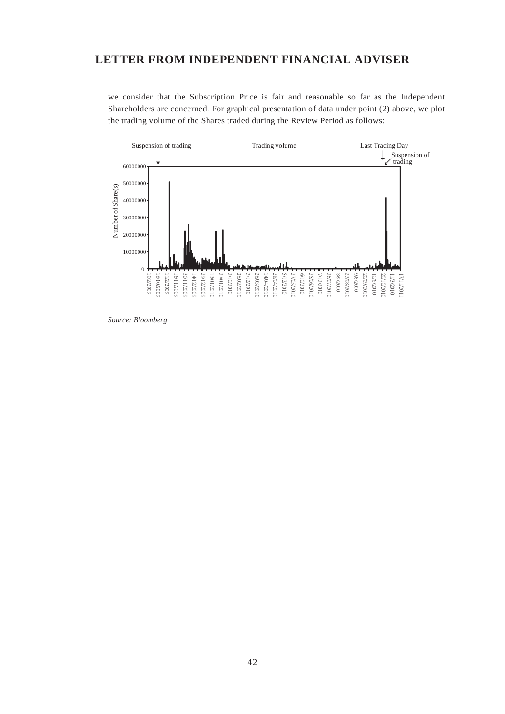we consider that the Subscription Price is fair and reasonable so far as the Independent Shareholders are concerned. For graphical presentation of data under point (2) above, we plot the trading volume of the Shares traded during the Review Period as follows:



*Source: Bloomberg*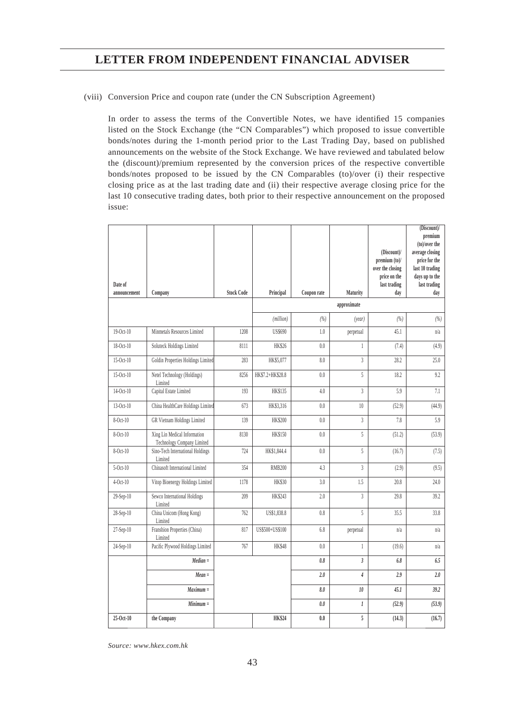#### (viii) Conversion Price and coupon rate (under the CN Subscription Agreement)

In order to assess the terms of the Convertible Notes, we have identified 15 companies listed on the Stock Exchange (the "CN Comparables") which proposed to issue convertible bonds/notes during the 1-month period prior to the Last Trading Day, based on published announcements on the website of the Stock Exchange. We have reviewed and tabulated below the (discount)/premium represented by the conversion prices of the respective convertible bonds/notes proposed to be issued by the CN Comparables (to)/over (i) their respective closing price as at the last trading date and (ii) their respective average closing price for the last 10 consecutive trading dates, both prior to their respective announcement on the proposed issue:

|                         |                                                            |                   |                  |             |                |                             | (Discount)/<br>premium           |
|-------------------------|------------------------------------------------------------|-------------------|------------------|-------------|----------------|-----------------------------|----------------------------------|
|                         |                                                            |                   |                  |             |                |                             | (to)/over the                    |
|                         |                                                            |                   |                  |             |                | (Discount)/<br>premium (to) | average closing<br>price for the |
|                         |                                                            |                   |                  |             |                | over the closing            | last 10 trading                  |
|                         |                                                            |                   |                  |             |                | price on the                | days up to the                   |
| Date of<br>announcement | Company                                                    | <b>Stock Code</b> | Principal        | Coupon rate | Maturity       | last trading<br>day         | last trading<br>day              |
|                         |                                                            |                   |                  |             | approximate    |                             |                                  |
|                         |                                                            |                   | (million)        | (%)         | (year)         | (%)                         | (%)                              |
| $19-Oct-10$             | Minmetals Resources Limited                                | 1208              | <b>US\$690</b>   | 1.0         | perpetual      | 45.1                        | n/a                              |
| 18-Oct-10               | Soluteck Holdings Limited                                  | 8111              | <b>HK\$26</b>    | 0.0         | $\mathbf{1}$   | (7.4)                       | (4.9)                            |
| 15-Oct-10               | Goldin Properties Holdings Limited                         | 283               | HK\$5,077        | 8.0         | $\overline{3}$ | 28.2                        | 25.0                             |
| 15-Oct-10               | Netel Technology (Holdings)<br>Limited                     | 8256              | HK\$7.2+HK\$28.8 | 0.0         | 5              | 18.2                        | 9.2                              |
| 14-Oct-10               | Capital Estate Limited                                     | 193               | <b>HK\$135</b>   | 4.0         | $\overline{3}$ | 5.9                         | 7.1                              |
| 13-Oct-10               | China HealthCare Holdings Limited                          | 673               | HK\$3,316        | 0.0         | 10             | (52.9)                      | (44.9)                           |
| 8-Oct-10                | GR Vietnam Holdings Limited                                | 139               | <b>HK\$200</b>   | 0.0         | 3              | 7.8                         | 5.9                              |
| 8-Oct-10                | Xing Lin Medical Information<br>Technology Company Limited | 8130              | <b>HK\$150</b>   | 0.0         | 5              | (51.2)                      | (53.9)                           |
| 8-Oct-10                | Sino-Tech International Holdings<br>Limited                | 724               | HK\$1,844.4      | 0.0         | 5              | (16.7)                      | (7.5)                            |
| $5-Oct-10$              | Chinasoft International Limited                            | 354               | <b>RMB200</b>    | 4.3         | $\overline{3}$ | (2.9)                       | (9.5)                            |
| $4-Oct-10$              | Vitop Bioenergy Holdings Limited                           | 1178              | <b>HK\$30</b>    | 3.0         | 1.5            | 20.8                        | 24.0                             |
| 29-Sep-10               | Sewco International Holdings<br>Limited                    | 209               | <b>HK\$243</b>   | 2.0         | $\overline{3}$ | 29.8                        | 39.2                             |
| 28-Sep-10               | China Unicom (Hong Kong)<br>Limited                        | 762               | US\$1,838.8      | 0.8         | 5              | 35.5                        | 33.8                             |
| 27-Sep-10               | Franshion Properties (China)<br>Limited                    | 817               | US\$500+US\$100  | 6.8         | perpetual      | n/a                         | n/a                              |
| 24-Sep-10               | Pacific Plywood Holdings Limited                           | 767               | HK\$48           | 0.0         | $\mathbf{1}$   | (19.6)                      | n/a                              |
|                         | $Median =$                                                 |                   |                  | 0.8         | $\overline{3}$ | 6.8                         | 6.5                              |
|                         | $Mean =$                                                   |                   |                  | 2.0         | $\overline{4}$ | 2.9                         | 2.0                              |
|                         | $Maximum =$                                                |                   |                  | 8.0         | 10             | 45.1                        | 39.2                             |
|                         | $Minimum =$                                                |                   |                  | 0.0         | $\cal I$       | (52.9)                      | (53.9)                           |
| 25-Oct-10               | the Company                                                |                   | <b>HK\$24</b>    | 0.0         | 5              | (14.3)                      | (16.7)                           |

*Source: www.hkex.com.hk*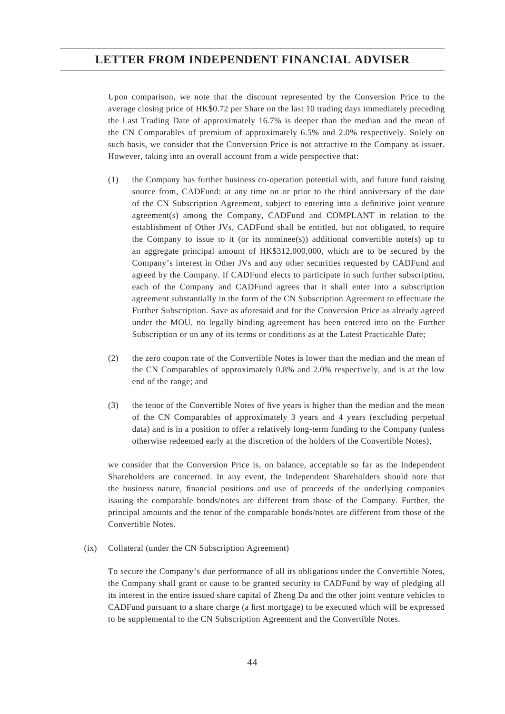Upon comparison, we note that the discount represented by the Conversion Price to the average closing price of HK\$0.72 per Share on the last 10 trading days immediately preceding the Last Trading Date of approximately 16.7% is deeper than the median and the mean of the CN Comparables of premium of approximately 6.5% and 2.0% respectively. Solely on such basis, we consider that the Conversion Price is not attractive to the Company as issuer. However, taking into an overall account from a wide perspective that:

- (1) the Company has further business co-operation potential with, and future fund raising source from, CADFund: at any time on or prior to the third anniversary of the date of the CN Subscription Agreement, subject to entering into a definitive joint venture agreement(s) among the Company, CADFund and COMPLANT in relation to the establishment of Other JVs, CADFund shall be entitled, but not obligated, to require the Company to issue to it (or its nomines(s)) additional convertible note(s) up to an aggregate principal amount of HK\$312,000,000, which are to be secured by the Company's interest in Other JVs and any other securities requested by CADFund and agreed by the Company. If CADFund elects to participate in such further subscription, each of the Company and CADFund agrees that it shall enter into a subscription agreement substantially in the form of the CN Subscription Agreement to effectuate the Further Subscription. Save as aforesaid and for the Conversion Price as already agreed under the MOU, no legally binding agreement has been entered into on the Further Subscription or on any of its terms or conditions as at the Latest Practicable Date;
- (2) the zero coupon rate of the Convertible Notes is lower than the median and the mean of the CN Comparables of approximately 0.8% and 2.0% respectively, and is at the low end of the range; and
- (3) the tenor of the Convertible Notes of five years is higher than the median and the mean of the CN Comparables of approximately 3 years and 4 years (excluding perpetual data) and is in a position to offer a relatively long-term funding to the Company (unless otherwise redeemed early at the discretion of the holders of the Convertible Notes),

we consider that the Conversion Price is, on balance, acceptable so far as the Independent Shareholders are concerned. In any event, the Independent Shareholders should note that the business nature, financial positions and use of proceeds of the underlying companies issuing the comparable bonds/notes are different from those of the Company. Further, the principal amounts and the tenor of the comparable bonds/notes are different from those of the Convertible Notes.

(ix) Collateral (under the CN Subscription Agreement)

To secure the Company's due performance of all its obligations under the Convertible Notes, the Company shall grant or cause to be granted security to CADFund by way of pledging all its interest in the entire issued share capital of Zheng Da and the other joint venture vehicles to CADFund pursuant to a share charge (a first mortgage) to be executed which will be expressed to be supplemental to the CN Subscription Agreement and the Convertible Notes.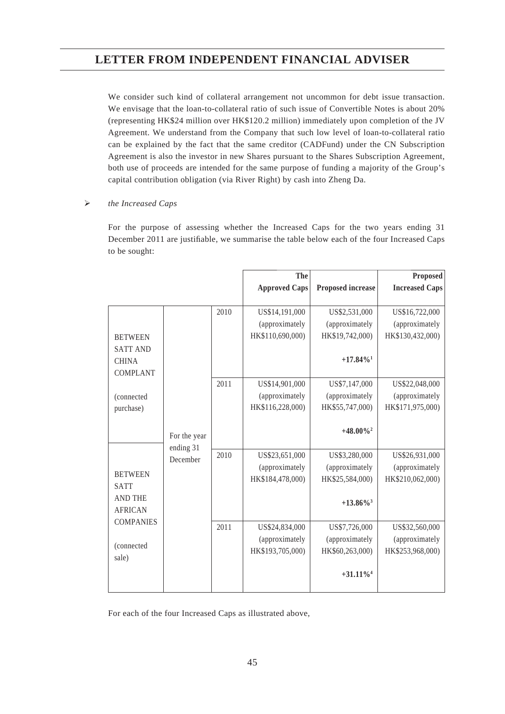We consider such kind of collateral arrangement not uncommon for debt issue transaction. We envisage that the loan-to-collateral ratio of such issue of Convertible Notes is about 20% (representing HK\$24 million over HK\$120.2 million) immediately upon completion of the JV Agreement. We understand from the Company that such low level of loan-to-collateral ratio can be explained by the fact that the same creditor (CADFund) under the CN Subscription Agreement is also the investor in new Shares pursuant to the Shares Subscription Agreement, both use of proceeds are intended for the same purpose of funding a majority of the Group's capital contribution obligation (via River Right) by cash into Zheng Da.

### *the Increased Caps*

For the purpose of assessing whether the Increased Caps for the two years ending 31 December 2011 are justifiable, we summarise the table below each of the four Increased Caps to be sought:

|                  |              |      | <b>The</b>           |                         | Proposed              |
|------------------|--------------|------|----------------------|-------------------------|-----------------------|
|                  |              |      | <b>Approved Caps</b> | Proposed increase       | <b>Increased Caps</b> |
|                  |              |      |                      |                         |                       |
|                  |              | 2010 | US\$14,191,000       | US\$2,531,000           | US\$16,722,000        |
|                  |              |      | (approximately       | (approximately          | (approximately        |
| <b>BETWEEN</b>   |              |      | HK\$110,690,000)     | HK\$19,742,000)         | HK\$130,432,000)      |
| <b>SATT AND</b>  |              |      |                      |                         |                       |
| <b>CHINA</b>     |              |      |                      | $+17.84\%$ <sup>1</sup> |                       |
| <b>COMPLANT</b>  |              |      |                      |                         |                       |
|                  |              | 2011 | US\$14,901,000       | US\$7,147,000           | US\$22,048,000        |
| (connected       |              |      | (approximately       | (approximately          | (approximately        |
| purchase)        |              |      | HK\$116,228,000)     | HK\$55,747,000)         | HK\$171,975,000)      |
|                  |              |      |                      |                         |                       |
|                  | For the year |      |                      | $+48.00\%$ <sup>2</sup> |                       |
|                  | ending 31    |      |                      |                         |                       |
|                  | December     | 2010 | US\$23,651,000       | US\$3,280,000           | US\$26,931,000        |
| <b>BETWEEN</b>   |              |      | (approximately       | (approximately          | (approximately        |
| <b>SATT</b>      |              |      | HK\$184,478,000)     | HK\$25,584,000)         | HK\$210,062,000)      |
| <b>AND THE</b>   |              |      |                      |                         |                       |
| <b>AFRICAN</b>   |              |      |                      | $+13.86\%$ <sup>3</sup> |                       |
| <b>COMPANIES</b> |              |      |                      |                         |                       |
|                  |              | 2011 | US\$24,834,000       | US\$7,726,000           | US\$32,560,000        |
| (connected       |              |      | (approximately       | (approximately          | (approximately        |
| sale)            |              |      | HK\$193,705,000)     | HK\$60,263,000)         | HK\$253,968,000)      |
|                  |              |      |                      |                         |                       |
|                  |              |      |                      | $+31.11\%$ <sup>4</sup> |                       |
|                  |              |      |                      |                         |                       |

For each of the four Increased Caps as illustrated above,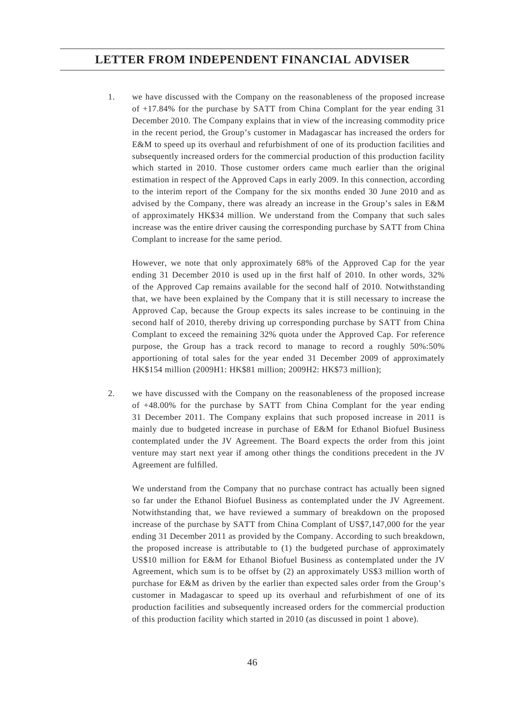1. we have discussed with the Company on the reasonableness of the proposed increase of +17.84% for the purchase by SATT from China Complant for the year ending 31 December 2010. The Company explains that in view of the increasing commodity price in the recent period, the Group's customer in Madagascar has increased the orders for E&M to speed up its overhaul and refurbishment of one of its production facilities and subsequently increased orders for the commercial production of this production facility which started in 2010. Those customer orders came much earlier than the original estimation in respect of the Approved Caps in early 2009. In this connection, according to the interim report of the Company for the six months ended 30 June 2010 and as advised by the Company, there was already an increase in the Group's sales in E&M of approximately HK\$34 million. We understand from the Company that such sales increase was the entire driver causing the corresponding purchase by SATT from China Complant to increase for the same period.

 However, we note that only approximately 68% of the Approved Cap for the year ending 31 December 2010 is used up in the first half of 2010. In other words,  $32\%$ of the Approved Cap remains available for the second half of 2010. Notwithstanding that, we have been explained by the Company that it is still necessary to increase the Approved Cap, because the Group expects its sales increase to be continuing in the second half of 2010, thereby driving up corresponding purchase by SATT from China Complant to exceed the remaining 32% quota under the Approved Cap. For reference purpose, the Group has a track record to manage to record a roughly 50%:50% apportioning of total sales for the year ended 31 December 2009 of approximately HK\$154 million (2009H1: HK\$81 million; 2009H2: HK\$73 million);

2. we have discussed with the Company on the reasonableness of the proposed increase of +48.00% for the purchase by SATT from China Complant for the year ending 31 December 2011. The Company explains that such proposed increase in 2011 is mainly due to budgeted increase in purchase of E&M for Ethanol Biofuel Business contemplated under the JV Agreement. The Board expects the order from this joint venture may start next year if among other things the conditions precedent in the JV Agreement are fulfilled.

 We understand from the Company that no purchase contract has actually been signed so far under the Ethanol Biofuel Business as contemplated under the JV Agreement. Notwithstanding that, we have reviewed a summary of breakdown on the proposed increase of the purchase by SATT from China Complant of US\$7,147,000 for the year ending 31 December 2011 as provided by the Company. According to such breakdown, the proposed increase is attributable to (1) the budgeted purchase of approximately US\$10 million for E&M for Ethanol Biofuel Business as contemplated under the JV Agreement, which sum is to be offset by (2) an approximately US\$3 million worth of purchase for E&M as driven by the earlier than expected sales order from the Group's customer in Madagascar to speed up its overhaul and refurbishment of one of its production facilities and subsequently increased orders for the commercial production of this production facility which started in 2010 (as discussed in point 1 above).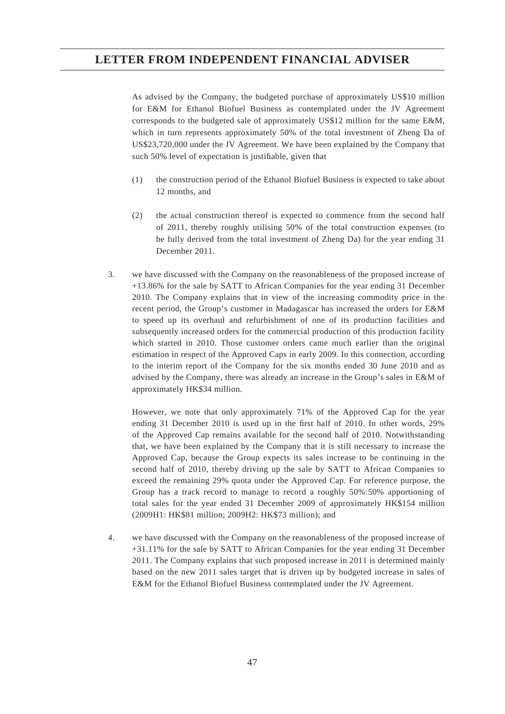As advised by the Company, the budgeted purchase of approximately US\$10 million for E&M for Ethanol Biofuel Business as contemplated under the JV Agreement corresponds to the budgeted sale of approximately US\$12 million for the same E&M, which in turn represents approximately 50% of the total investment of Zheng Da of US\$23,720,000 under the JV Agreement. We have been explained by the Company that such 50% level of expectation is justifiable, given that

- (1) the construction period of the Ethanol Biofuel Business is expected to take about 12 months, and
- (2) the actual construction thereof is expected to commence from the second half of 2011, thereby roughly utilising 50% of the total construction expenses (to be fully derived from the total investment of Zheng Da) for the year ending 31 December 2011.
- 3. we have discussed with the Company on the reasonableness of the proposed increase of +13.86% for the sale by SATT to African Companies for the year ending 31 December 2010. The Company explains that in view of the increasing commodity price in the recent period, the Group's customer in Madagascar has increased the orders for E&M to speed up its overhaul and refurbishment of one of its production facilities and subsequently increased orders for the commercial production of this production facility which started in 2010. Those customer orders came much earlier than the original estimation in respect of the Approved Caps in early 2009. In this connection, according to the interim report of the Company for the six months ended 30 June 2010 and as advised by the Company, there was already an increase in the Group's sales in E&M of approximately HK\$34 million.

 However, we note that only approximately 71% of the Approved Cap for the year ending 31 December 2010 is used up in the first half of 2010. In other words,  $29\%$ of the Approved Cap remains available for the second half of 2010. Notwithstanding that, we have been explained by the Company that it is still necessary to increase the Approved Cap, because the Group expects its sales increase to be continuing in the second half of 2010, thereby driving up the sale by SATT to African Companies to exceed the remaining 29% quota under the Approved Cap. For reference purpose, the Group has a track record to manage to record a roughly 50%:50% apportioning of total sales for the year ended 31 December 2009 of approximately HK\$154 million (2009H1: HK\$81 million; 2009H2: HK\$73 million); and

4. we have discussed with the Company on the reasonableness of the proposed increase of +31.11% for the sale by SATT to African Companies for the year ending 31 December 2011. The Company explains that such proposed increase in 2011 is determined mainly based on the new 2011 sales target that is driven up by budgeted increase in sales of E&M for the Ethanol Biofuel Business contemplated under the JV Agreement.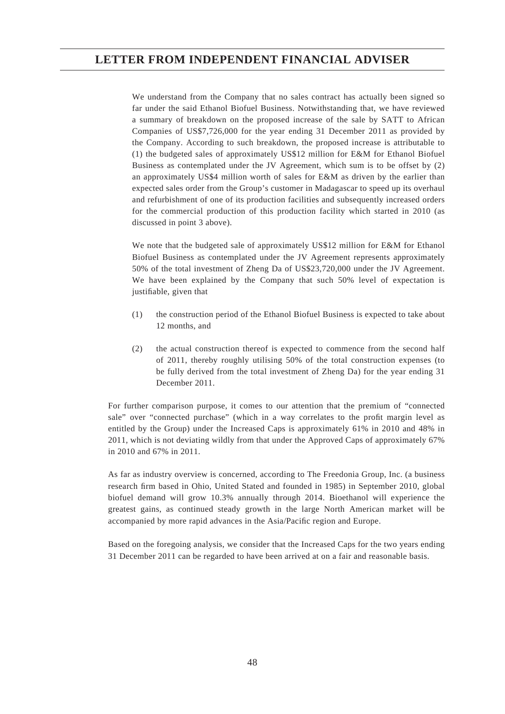We understand from the Company that no sales contract has actually been signed so far under the said Ethanol Biofuel Business. Notwithstanding that, we have reviewed a summary of breakdown on the proposed increase of the sale by SATT to African Companies of US\$7,726,000 for the year ending 31 December 2011 as provided by the Company. According to such breakdown, the proposed increase is attributable to (1) the budgeted sales of approximately US\$12 million for E&M for Ethanol Biofuel Business as contemplated under the JV Agreement, which sum is to be offset by (2) an approximately US\$4 million worth of sales for E&M as driven by the earlier than expected sales order from the Group's customer in Madagascar to speed up its overhaul and refurbishment of one of its production facilities and subsequently increased orders for the commercial production of this production facility which started in 2010 (as discussed in point 3 above).

 We note that the budgeted sale of approximately US\$12 million for E&M for Ethanol Biofuel Business as contemplated under the JV Agreement represents approximately 50% of the total investment of Zheng Da of US\$23,720,000 under the JV Agreement. We have been explained by the Company that such 50% level of expectation is justifiable, given that

- (1) the construction period of the Ethanol Biofuel Business is expected to take about 12 months, and
- (2) the actual construction thereof is expected to commence from the second half of 2011, thereby roughly utilising 50% of the total construction expenses (to be fully derived from the total investment of Zheng Da) for the year ending 31 December 2011.

For further comparison purpose, it comes to our attention that the premium of "connected sale" over "connected purchase" (which in a way correlates to the profit margin level as entitled by the Group) under the Increased Caps is approximately 61% in 2010 and 48% in 2011, which is not deviating wildly from that under the Approved Caps of approximately 67% in 2010 and 67% in 2011.

As far as industry overview is concerned, according to The Freedonia Group, Inc. (a business research firm based in Ohio, United Stated and founded in 1985) in September 2010, global biofuel demand will grow 10.3% annually through 2014. Bioethanol will experience the greatest gains, as continued steady growth in the large North American market will be accompanied by more rapid advances in the Asia/Pacific region and Europe.

Based on the foregoing analysis, we consider that the Increased Caps for the two years ending 31 December 2011 can be regarded to have been arrived at on a fair and reasonable basis.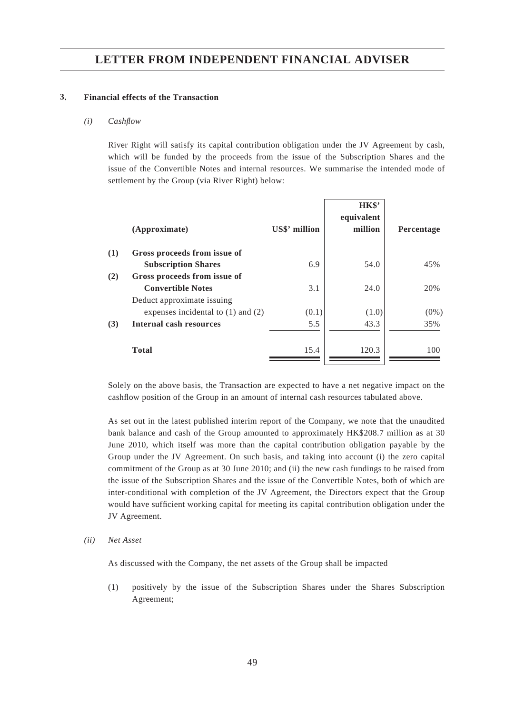#### **3. Financial effects of the Transaction**

#### *(i) Cashfl ow*

River Right will satisfy its capital contribution obligation under the JV Agreement by cash, which will be funded by the proceeds from the issue of the Subscription Shares and the issue of the Convertible Notes and internal resources. We summarise the intended mode of settlement by the Group (via River Right) below:

|     | (Approximate)                          | US\$' million | HK\$'<br>equivalent<br>million | Percentage |
|-----|----------------------------------------|---------------|--------------------------------|------------|
| (1) | Gross proceeds from issue of           |               |                                |            |
|     | <b>Subscription Shares</b>             | 6.9           | 54.0                           | 45%        |
| (2) | Gross proceeds from issue of           |               |                                |            |
|     | <b>Convertible Notes</b>               | 3.1           | 24.0                           | 20%        |
|     | Deduct approximate issuing             |               |                                |            |
|     | expenses incidental to $(1)$ and $(2)$ | (0.1)         | (1.0)                          | $(0\%)$    |
| (3) | Internal cash resources                | 5.5           | 43.3                           | 35%        |
|     | <b>Total</b>                           | 15.4          | 120.3                          | 100        |
|     |                                        |               |                                |            |

Solely on the above basis, the Transaction are expected to have a net negative impact on the cashflow position of the Group in an amount of internal cash resources tabulated above.

As set out in the latest published interim report of the Company, we note that the unaudited bank balance and cash of the Group amounted to approximately HK\$208.7 million as at 30 June 2010, which itself was more than the capital contribution obligation payable by the Group under the JV Agreement. On such basis, and taking into account (i) the zero capital commitment of the Group as at 30 June 2010; and (ii) the new cash fundings to be raised from the issue of the Subscription Shares and the issue of the Convertible Notes, both of which are inter-conditional with completion of the JV Agreement, the Directors expect that the Group would have sufficient working capital for meeting its capital contribution obligation under the JV Agreement.

*(ii) Net Asset*

As discussed with the Company, the net assets of the Group shall be impacted

(1) positively by the issue of the Subscription Shares under the Shares Subscription Agreement;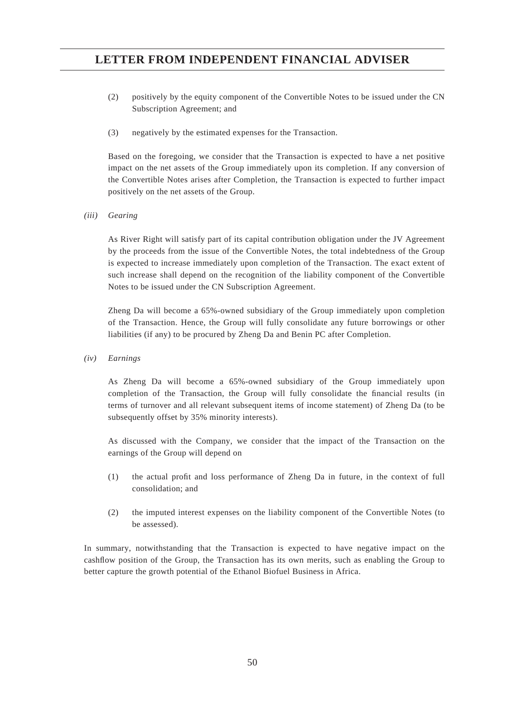- (2) positively by the equity component of the Convertible Notes to be issued under the CN Subscription Agreement; and
- (3) negatively by the estimated expenses for the Transaction.

Based on the foregoing, we consider that the Transaction is expected to have a net positive impact on the net assets of the Group immediately upon its completion. If any conversion of the Convertible Notes arises after Completion, the Transaction is expected to further impact positively on the net assets of the Group.

*(iii) Gearing*

As River Right will satisfy part of its capital contribution obligation under the JV Agreement by the proceeds from the issue of the Convertible Notes, the total indebtedness of the Group is expected to increase immediately upon completion of the Transaction. The exact extent of such increase shall depend on the recognition of the liability component of the Convertible Notes to be issued under the CN Subscription Agreement.

Zheng Da will become a 65%-owned subsidiary of the Group immediately upon completion of the Transaction. Hence, the Group will fully consolidate any future borrowings or other liabilities (if any) to be procured by Zheng Da and Benin PC after Completion.

*(iv) Earnings*

As Zheng Da will become a 65%-owned subsidiary of the Group immediately upon completion of the Transaction, the Group will fully consolidate the financial results (in terms of turnover and all relevant subsequent items of income statement) of Zheng Da (to be subsequently offset by 35% minority interests).

As discussed with the Company, we consider that the impact of the Transaction on the earnings of the Group will depend on

- (1) the actual profi t and loss performance of Zheng Da in future, in the context of full consolidation; and
- (2) the imputed interest expenses on the liability component of the Convertible Notes (to be assessed).

In summary, notwithstanding that the Transaction is expected to have negative impact on the cashflow position of the Group, the Transaction has its own merits, such as enabling the Group to better capture the growth potential of the Ethanol Biofuel Business in Africa.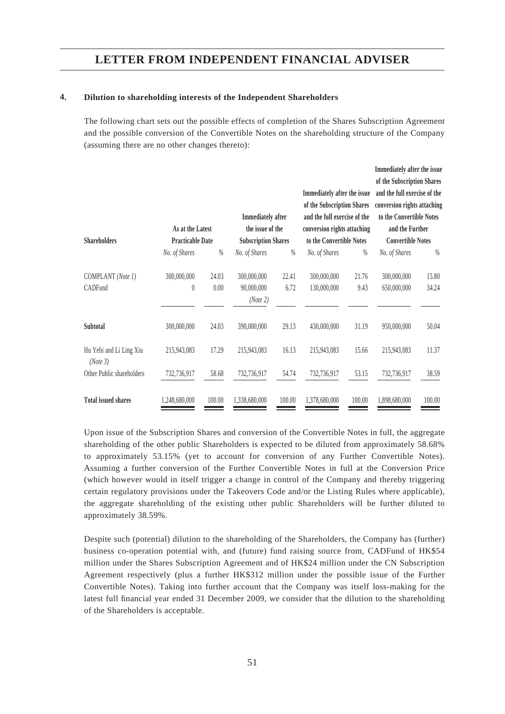#### **4. Dilution to shareholding interests of the Independent Shareholders**

The following chart sets out the possible effects of completion of the Shares Subscription Agreement and the possible conversion of the Convertible Notes on the shareholding structure of the Company (assuming there are no other changes thereto):

|                                     |                         |        |                            |        |                              |        | Immediately after the issue  |        |
|-------------------------------------|-------------------------|--------|----------------------------|--------|------------------------------|--------|------------------------------|--------|
|                                     |                         |        |                            |        |                              |        | of the Subscription Shares   |        |
|                                     |                         |        |                            |        | Immediately after the issue  |        | and the full exercise of the |        |
|                                     |                         |        |                            |        | of the Subscription Shares   |        | conversion rights attaching  |        |
|                                     |                         |        | <b>Immediately</b> after   |        | and the full exercise of the |        | to the Convertible Notes     |        |
|                                     | As at the Latest        |        | the issue of the           |        | conversion rights attaching  |        | and the Further              |        |
| <b>Shareholders</b>                 | <b>Practicable Date</b> |        | <b>Subscription Shares</b> |        | to the Convertible Notes     |        | <b>Convertible Notes</b>     |        |
|                                     | No. of Shares           | $\%$   | No. of Shares              | $\%$   | No. of Shares                | %      | No. of Shares                | $\%$   |
| COMPLANT (Note 1)                   | 300,000,000             | 24.03  | 300,000,000                | 22.41  | 300,000,000                  | 21.76  | 300,000,000                  | 15.80  |
| CADFund                             | $\theta$                | 0.00   | 90,000,000                 | 6.72   | 130,000,000                  | 9.43   | 650,000,000                  | 34.24  |
|                                     |                         |        | (Note 2)                   |        |                              |        |                              |        |
| Subtotal                            | 300,000,000             | 24.03  | 390,000,000                | 29.13  | 430,000,000                  | 31.19  | 950,000,000                  | 50.04  |
| Hu Yebi and Li Ling Xiu<br>(Note 3) | 215,943,083             | 17.29  | 215,943,083                | 16.13  | 215,943,083                  | 15.66  | 215,943,083                  | 11.37  |
| Other Public shareholders           | 732,736,917             | 58.68  | 732,736,917                | 54.74  | 732,736,917                  | 53.15  | 732,736,917                  | 38.59  |
| <b>Total issued shares</b>          | 1,248,680,000           | 100.00 | 1,338,680,000              | 100.00 | 1,378,680,000                | 100.00 | 1,898,680,000                | 100.00 |

Upon issue of the Subscription Shares and conversion of the Convertible Notes in full, the aggregate shareholding of the other public Shareholders is expected to be diluted from approximately 58.68% to approximately 53.15% (yet to account for conversion of any Further Convertible Notes). Assuming a further conversion of the Further Convertible Notes in full at the Conversion Price (which however would in itself trigger a change in control of the Company and thereby triggering certain regulatory provisions under the Takeovers Code and/or the Listing Rules where applicable), the aggregate shareholding of the existing other public Shareholders will be further diluted to approximately 38.59%.

Despite such (potential) dilution to the shareholding of the Shareholders, the Company has (further) business co-operation potential with, and (future) fund raising source from, CADFund of HK\$54 million under the Shares Subscription Agreement and of HK\$24 million under the CN Subscription Agreement respectively (plus a further HK\$312 million under the possible issue of the Further Convertible Notes). Taking into further account that the Company was itself loss-making for the latest full financial year ended 31 December 2009, we consider that the dilution to the shareholding of the Shareholders is acceptable.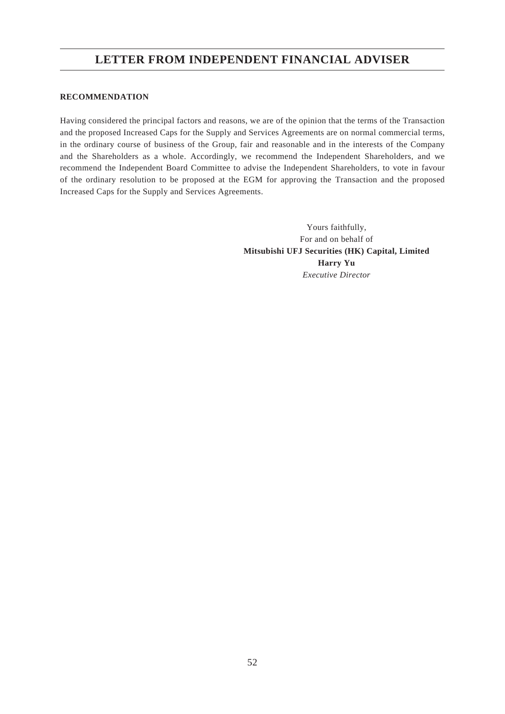#### **RECOMMENDATION**

Having considered the principal factors and reasons, we are of the opinion that the terms of the Transaction and the proposed Increased Caps for the Supply and Services Agreements are on normal commercial terms, in the ordinary course of business of the Group, fair and reasonable and in the interests of the Company and the Shareholders as a whole. Accordingly, we recommend the Independent Shareholders, and we recommend the Independent Board Committee to advise the Independent Shareholders, to vote in favour of the ordinary resolution to be proposed at the EGM for approving the Transaction and the proposed Increased Caps for the Supply and Services Agreements.

> Yours faithfully, For and on behalf of **Mitsubishi UFJ Securities (HK) Capital, Limited Harry Yu** *Executive Director*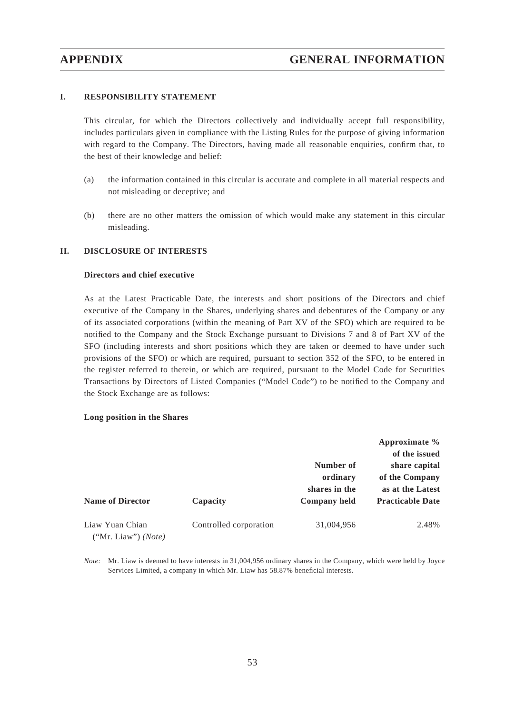#### **I. RESPONSIBILITY STATEMENT**

This circular, for which the Directors collectively and individually accept full responsibility, includes particulars given in compliance with the Listing Rules for the purpose of giving information with regard to the Company. The Directors, having made all reasonable enquiries, confirm that, to the best of their knowledge and belief:

- (a) the information contained in this circular is accurate and complete in all material respects and not misleading or deceptive; and
- (b) there are no other matters the omission of which would make any statement in this circular misleading.

#### **II. DISCLOSURE OF INTERESTS**

#### **Directors and chief executive**

As at the Latest Practicable Date, the interests and short positions of the Directors and chief executive of the Company in the Shares, underlying shares and debentures of the Company or any of its associated corporations (within the meaning of Part XV of the SFO) which are required to be notified to the Company and the Stock Exchange pursuant to Divisions 7 and 8 of Part XV of the SFO (including interests and short positions which they are taken or deemed to have under such provisions of the SFO) or which are required, pursuant to section 352 of the SFO, to be entered in the register referred to therein, or which are required, pursuant to the Model Code for Securities Transactions by Directors of Listed Companies ("Model Code") to be notified to the Company and the Stock Exchange are as follows:

#### **Long position in the Shares**

|                                                 |                                    |                                        | Approximate $\%$<br>of the issued                                              |
|-------------------------------------------------|------------------------------------|----------------------------------------|--------------------------------------------------------------------------------|
| <b>Name of Director</b>                         |                                    | Number of<br>ordinary<br>shares in the | share capital<br>of the Company<br>as at the Latest<br><b>Practicable Date</b> |
| Liaw Yuan Chian<br>("Mr. Liaw") ( <i>Note</i> ) | Capacity<br>Controlled corporation | Company held<br>31,004,956             | 2.48%                                                                          |

*Note:* Mr. Liaw is deemed to have interests in 31,004,956 ordinary shares in the Company, which were held by Joyce Services Limited, a company in which Mr. Liaw has 58.87% beneficial interests.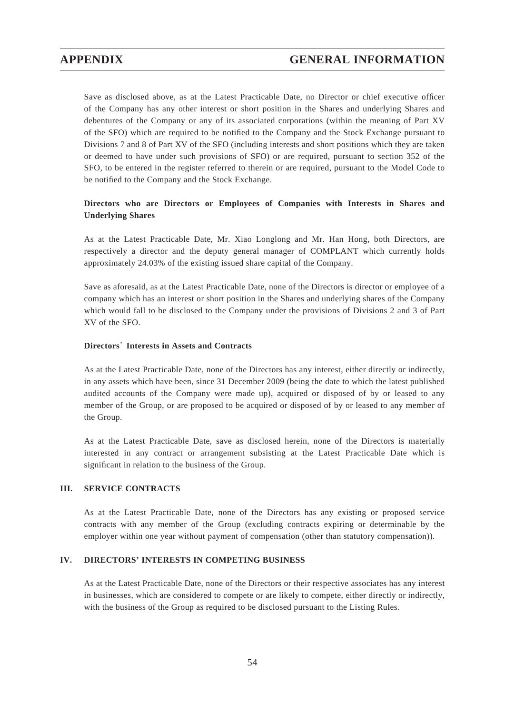Save as disclosed above, as at the Latest Practicable Date, no Director or chief executive officer of the Company has any other interest or short position in the Shares and underlying Shares and debentures of the Company or any of its associated corporations (within the meaning of Part XV of the SFO) which are required to be notified to the Company and the Stock Exchange pursuant to Divisions 7 and 8 of Part XV of the SFO (including interests and short positions which they are taken or deemed to have under such provisions of SFO) or are required, pursuant to section 352 of the SFO, to be entered in the register referred to therein or are required, pursuant to the Model Code to be notified to the Company and the Stock Exchange.

## **Directors who are Directors or Employees of Companies with Interests in Shares and Underlying Shares**

As at the Latest Practicable Date, Mr. Xiao Longlong and Mr. Han Hong, both Directors, are respectively a director and the deputy general manager of COMPLANT which currently holds approximately 24.03% of the existing issued share capital of the Company.

Save as aforesaid, as at the Latest Practicable Date, none of the Directors is director or employee of a company which has an interest or short position in the Shares and underlying shares of the Company which would fall to be disclosed to the Company under the provisions of Divisions 2 and 3 of Part XV of the SFO.

#### **Directors' Interests in Assets and Contracts**

As at the Latest Practicable Date, none of the Directors has any interest, either directly or indirectly, in any assets which have been, since 31 December 2009 (being the date to which the latest published audited accounts of the Company were made up), acquired or disposed of by or leased to any member of the Group, or are proposed to be acquired or disposed of by or leased to any member of the Group.

As at the Latest Practicable Date, save as disclosed herein, none of the Directors is materially interested in any contract or arrangement subsisting at the Latest Practicable Date which is significant in relation to the business of the Group.

#### **III. SERVICE CONTRACTS**

As at the Latest Practicable Date, none of the Directors has any existing or proposed service contracts with any member of the Group (excluding contracts expiring or determinable by the employer within one year without payment of compensation (other than statutory compensation)).

#### **IV. DIRECTORS' INTERESTS IN COMPETING BUSINESS**

As at the Latest Practicable Date, none of the Directors or their respective associates has any interest in businesses, which are considered to compete or are likely to compete, either directly or indirectly, with the business of the Group as required to be disclosed pursuant to the Listing Rules.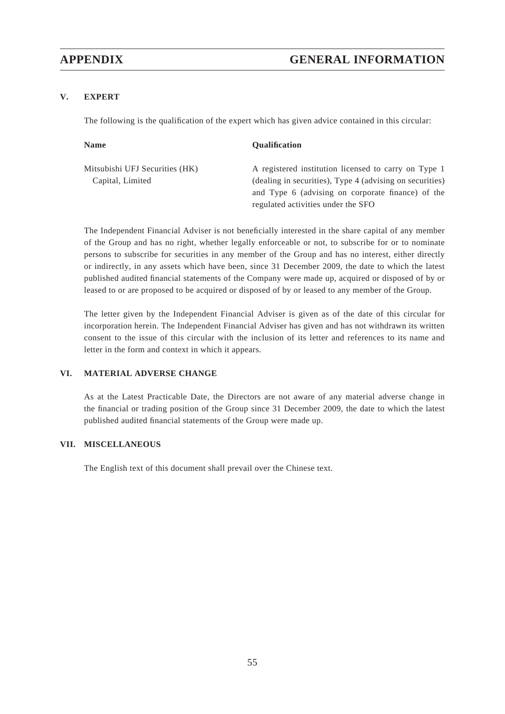### **V. EXPERT**

The following is the qualification of the expert which has given advice contained in this circular:

| <b>Name</b>                    | <b>Oualification</b>                                     |
|--------------------------------|----------------------------------------------------------|
| Mitsubishi UFJ Securities (HK) | A registered institution licensed to carry on Type 1     |
| Capital, Limited               | (dealing in securities), Type 4 (advising on securities) |
|                                | and Type 6 (advising on corporate finance) of the        |
|                                | regulated activities under the SFO                       |

The Independent Financial Adviser is not beneficially interested in the share capital of any member of the Group and has no right, whether legally enforceable or not, to subscribe for or to nominate persons to subscribe for securities in any member of the Group and has no interest, either directly or indirectly, in any assets which have been, since 31 December 2009, the date to which the latest published audited financial statements of the Company were made up, acquired or disposed of by or leased to or are proposed to be acquired or disposed of by or leased to any member of the Group.

The letter given by the Independent Financial Adviser is given as of the date of this circular for incorporation herein. The Independent Financial Adviser has given and has not withdrawn its written consent to the issue of this circular with the inclusion of its letter and references to its name and letter in the form and context in which it appears.

#### **VI. MATERIAL ADVERSE CHANGE**

As at the Latest Practicable Date, the Directors are not aware of any material adverse change in the financial or trading position of the Group since 31 December 2009, the date to which the latest published audited financial statements of the Group were made up.

#### **VII. MISCELLANEOUS**

The English text of this document shall prevail over the Chinese text.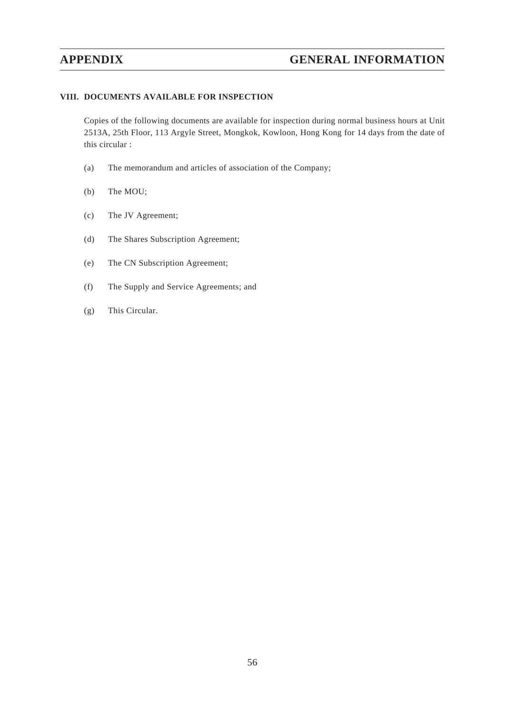#### **VIII. DOCUMENTS AVAILABLE FOR INSPECTION**

Copies of the following documents are available for inspection during normal business hours at Unit 2513A, 25th Floor, 113 Argyle Street, Mongkok, Kowloon, Hong Kong for 14 days from the date of this circular :

- (a) The memorandum and articles of association of the Company;
- (b) The MOU;
- (c) The JV Agreement;
- (d) The Shares Subscription Agreement;
- (e) The CN Subscription Agreement;
- (f) The Supply and Service Agreements; and
- (g) This Circular.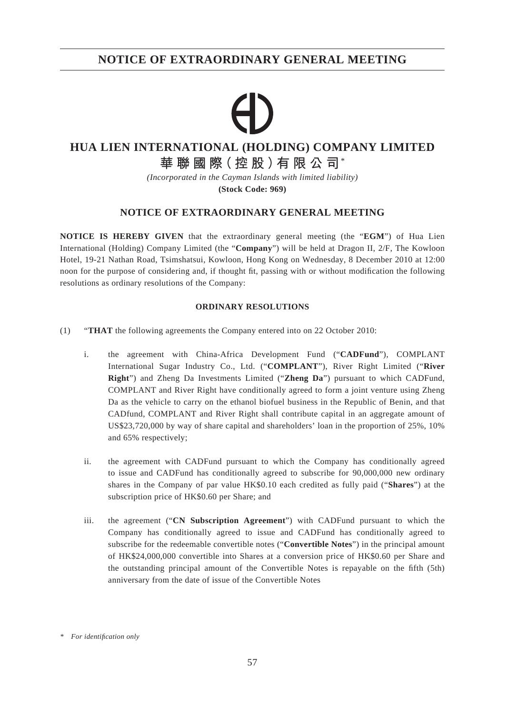## **NOTICE OF EXTRAORDINARY GENERAL MEETING**

# **HUA LIEN INTERNATIONAL (HOLDING) COMPANY LIMITED**

**華聯國際(控股)有限公司**\*

*(Incorporated in the Cayman Islands with limited liability)*

**(Stock Code: 969)**

## **NOTICE OF EXTRAORDINARY GENERAL MEETING**

**NOTICE IS HEREBY GIVEN** that the extraordinary general meeting (the "**EGM**") of Hua Lien International (Holding) Company Limited (the "**Company**") will be held at Dragon II, 2/F, The Kowloon Hotel, 19-21 Nathan Road, Tsimshatsui, Kowloon, Hong Kong on Wednesday, 8 December 2010 at 12:00 noon for the purpose of considering and, if thought fit, passing with or without modification the following resolutions as ordinary resolutions of the Company:

#### **ORDINARY RESOLUTIONS**

- (1) "**THAT** the following agreements the Company entered into on 22 October 2010:
	- i. the agreement with China-Africa Development Fund ("**CADFund**"), COMPLANT International Sugar Industry Co., Ltd. ("**COMPLANT**"), River Right Limited ("**River Right**") and Zheng Da Investments Limited ("**Zheng Da**") pursuant to which CADFund, COMPLANT and River Right have conditionally agreed to form a joint venture using Zheng Da as the vehicle to carry on the ethanol biofuel business in the Republic of Benin, and that CADfund, COMPLANT and River Right shall contribute capital in an aggregate amount of US\$23,720,000 by way of share capital and shareholders' loan in the proportion of 25%, 10% and 65% respectively;
	- ii. the agreement with CADFund pursuant to which the Company has conditionally agreed to issue and CADFund has conditionally agreed to subscribe for 90,000,000 new ordinary shares in the Company of par value HK\$0.10 each credited as fully paid ("**Shares**") at the subscription price of HK\$0.60 per Share; and
	- iii. the agreement ("**CN Subscription Agreement**") with CADFund pursuant to which the Company has conditionally agreed to issue and CADFund has conditionally agreed to subscribe for the redeemable convertible notes ("**Convertible Notes**") in the principal amount of HK\$24,000,000 convertible into Shares at a conversion price of HK\$0.60 per Share and the outstanding principal amount of the Convertible Notes is repayable on the fifth (5th) anniversary from the date of issue of the Convertible Notes

*<sup>\*</sup> For identifi cation only*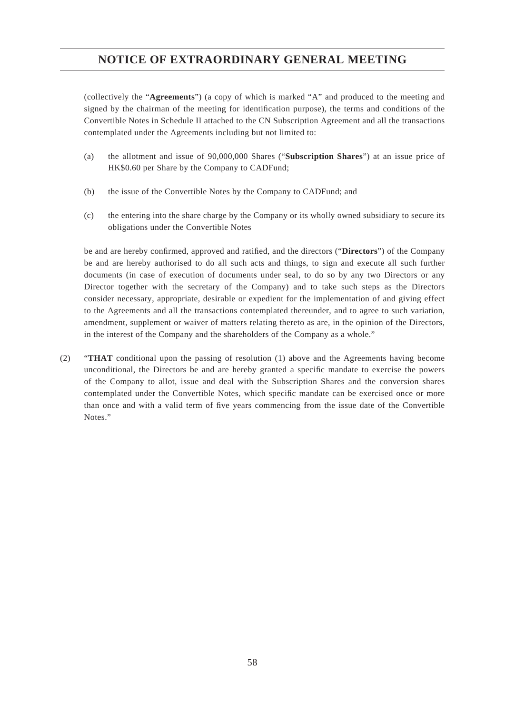# **NOTICE OF EXTRAORDINARY GENERAL MEETING**

(collectively the "**Agreements**") (a copy of which is marked "A" and produced to the meeting and signed by the chairman of the meeting for identification purpose), the terms and conditions of the Convertible Notes in Schedule II attached to the CN Subscription Agreement and all the transactions contemplated under the Agreements including but not limited to:

- (a) the allotment and issue of 90,000,000 Shares ("**Subscription Shares**") at an issue price of HK\$0.60 per Share by the Company to CADFund;
- (b) the issue of the Convertible Notes by the Company to CADFund; and
- (c) the entering into the share charge by the Company or its wholly owned subsidiary to secure its obligations under the Convertible Notes

be and are hereby confirmed, approved and ratified, and the directors ("Directors") of the Company be and are hereby authorised to do all such acts and things, to sign and execute all such further documents (in case of execution of documents under seal, to do so by any two Directors or any Director together with the secretary of the Company) and to take such steps as the Directors consider necessary, appropriate, desirable or expedient for the implementation of and giving effect to the Agreements and all the transactions contemplated thereunder, and to agree to such variation, amendment, supplement or waiver of matters relating thereto as are, in the opinion of the Directors, in the interest of the Company and the shareholders of the Company as a whole."

(2) "**THAT** conditional upon the passing of resolution (1) above and the Agreements having become unconditional, the Directors be and are hereby granted a specific mandate to exercise the powers of the Company to allot, issue and deal with the Subscription Shares and the conversion shares contemplated under the Convertible Notes, which specific mandate can be exercised once or more than once and with a valid term of five years commencing from the issue date of the Convertible Notes."